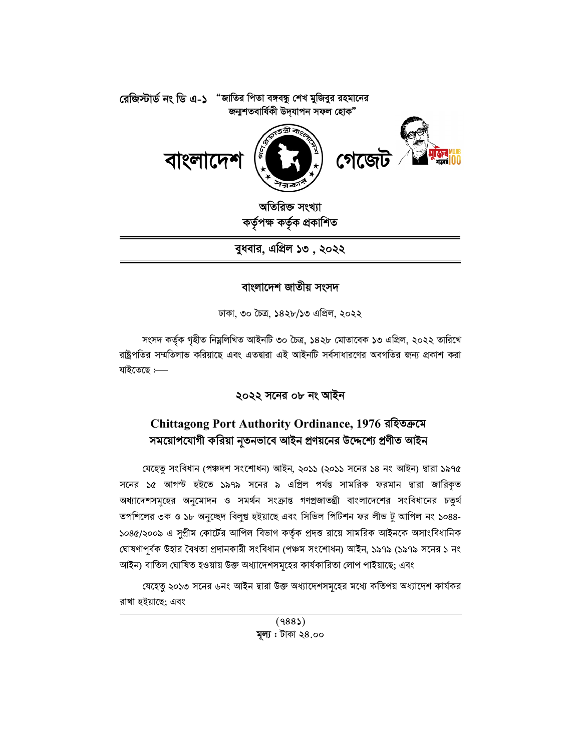

বুধবার, এপ্রিল ১৩ , ২০২২

## বাংলাদেশ জাতীয় সংসদ

ঢাকা, ৩০ চৈত্ৰ, ১৪২৮/১৩ এপ্ৰিল, ২০২২

সংসদ কৰ্তৃক গৃহীত নিম্নলিখিত আইনটি ৩০ চৈত্ৰ, ১৪২৮ মোতাবেক ১৩ এপ্ৰিল, ২০২২ তারিখে রাষ্ট্রপতির সম্মতিলাভ করিয়াছে এবং এতদ্বারা এই আইনটি সর্বসাধারণের অবগতির জন্য প্রকাশ করা যাইতেছে :-----

২০২২ সনের ০৮ নং আইন

# Chittagong Port Authority Ordinance, 1976 রহিতক্রমে সময়োপযোগী করিয়া নূতনভাবে আইন প্রণয়নের উদ্দেশ্যে প্রণীত আইন

যেহেতু সংবিধান (পঞ্চদশ সংশোধন) আইন, ২০১১ (২০১১ সনের ১৪ নং আইন) দ্বারা ১৯৭৫ সনের ১৫ আগস্ট হইতে ১৯৭৯ সনের ৯ এপ্রিল পর্যন্ত সামরিক ফরমান দ্বারা জারিকৃত অধ্যাদেশসমূহের অনুমোদন ও সমর্থন সংক্রান্ত গণপ্রজাতন্ত্রী বাংলাদেশের সংবিধানের চতুর্থ তপশিলের ৩ক ও ১৮ অনুচ্ছেদ বিলুপ্ত হইয়াছে এবং সিভিল পিটিশন ফর লীভ টু আপিল নং ১০৪৪-১০৪৫/২০০৯ এ সুপ্রীম কোর্টের আপিল বিভাগ কর্তৃক প্রদত্ত রায়ে সামরিক আইনকে অসাংবিধানিক ঘোষণাপূৰ্বক উহার বৈধতা প্রদানকারী সংবিধান (পঞ্চম সংশোধন) আইন, ১৯৭৯ (১৯৭৯ সনের ১ নং আইন) বাতিল ঘোষিত হওয়ায় উক্ত অধ্যাদেশসমূহের কার্যকারিতা লোপ পাইয়াছে; এবং

যেহেতু ২০১৩ সনের ৬নং আইন দ্বারা উক্ত অধ্যাদেশসমূহের মধ্যে কতিপয় অধ্যাদেশ কার্যকর রাখা হইয়াছে: এবং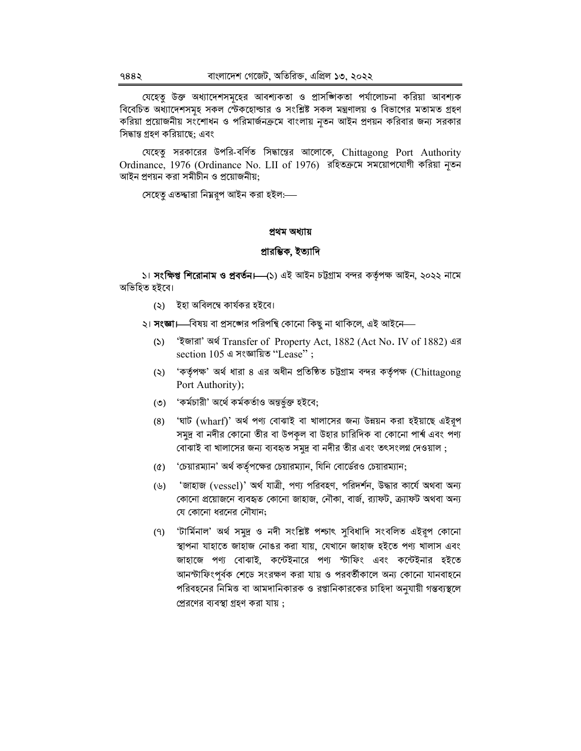যেহেত উক্ত অধ্যাদেশসমহের আবশ্যকতা ও প্রাসজ্ঞিকতা পর্যালোচনা করিয়া আবশ্যক বিবেচিত অধ্যাদেশসমূহ সকল স্টেকহোল্ডার ও সংশ্লিষ্ট সকল মন্ত্রণালয় ও বিভাগের মতামত গ্রহণ করিয়া প্রয়োজনীয় সংশোধন ও পরিমার্জনক্রমে বাংলায় নৃতন আইন প্রণয়ন করিবার জন্য সরকার সিদ্ধান্ত গ্রহণ করিয়াছে; এবং

যেহেতু সরকারের উপরি-বর্ণিত সিদ্ধান্তের আলোকে, Chittagong Port Authority Ordinance, 1976 (Ordinance No. LII of 1976) রহিতক্রমে সময়োপযোগী করিয়া নৃতন আইন প্রণয়ন করা সমীচীন ও প্রয়োজনীয়;

সেহেত এতদ্বারা নিম্নরপ আইন করা হইল:—

#### প্ৰথম অধ্যায়

#### প্ৰারম্ভিক, ইত্যাদি

১। **সংক্ষিপ্ত শিরোনাম ও প্রবর্তন।—(**১) এই আইন চট্টগ্রাম বন্দর কর্তৃপক্ষ আইন, ২০২২ নামে অভিহিত হইবে।

(২) ইহা অবিলম্বে কাৰ্যকর হইবে।

২। সংজ্ঞা—বিষয় বা প্রসঙ্গের পরিপন্থি কোনো কিছু না থাকিলে, এই আইনে—

- 'ইজারা' অর্থ Transfer of Property Act, 1882 (Act No. IV of 1882) এর  $(5)$ section 105 এ সংজ্ঞায়িত "Lease";
- 'কর্তৃপক্ষ' অর্থ ধারা ৪ এর অধীন প্রতিষ্ঠিত চট্টগ্রাম বন্দর কর্তৃপক্ষ (Chittagong  $(5)$ Port Authority);
- (৩) 'কর্মচারী' অর্থে কর্মকর্তাও অন্তর্ভুক্ত হইবে;
- 'ঘাট (wharf)' অৰ্থ পণ্য বোঝাই বা খালাসের জন্য উন্নয়ন করা হইয়াছে এইরূপ  $(8)$ সমুদ্র বা নদীর কোনো তীর বা উপকল বা উহার চারিদিক বা কোনো পার্শ্ব এবং পণ্য বোঝাই বা খালাসের জন্য ব্যবহৃত সমুদ্র বা নদীর তীর এবং তৎসংলগ দেওয়াল;
- 'চেয়ারম্যান' অর্থ কর্তৃপক্ষের চেয়ারম্যান, যিনি বোর্ডেরও চেয়ারম্যান;  $(\delta)$
- 'জাহাজ (vessel)' অৰ্থ যাত্ৰী, পণ্য পরিবহণ, পরিদর্শন, উদ্ধার কার্যে অথবা অন্য  $(\forall)$ কোনো প্রয়োজনে ব্যবহৃত কোনো জাহাজ, নৌকা, বার্জ, র্যাফট, ক্র্যাফট অথবা অন্য যে কোনো ধরনের নৌযান;
- 'টাৰ্মিনাল' অৰ্থ সমুদ্ৰ ও নদী সংশ্লিষ্ট পশ্চাৎ সুবিধাদি সংবলিত এইরূপ কোনো  $(9)$ স্থাপনা যাহাতে জাহাজ নোঙর করা যায়, যেখানে জাহাজ হইতে পণ্য খালাস এবং জাহাজে পণ্য বোঝাই, কন্টেইনারে পণ্য স্টাফিং এবং কন্টেইনার হইতে আনস্টাফিংপর্বক শেডে সংরক্ষণ করা যায় ও পরবর্তীকালে অন্য কোনো যানবাহনে পরিবহনের নিমিত্ত বা আমদানিকারক ও রপ্তানিকারকের চাহিদা অনুযায়ী গন্তব্যস্থলে প্রেরণের ব্যবস্থা গ্রহণ করা যায় :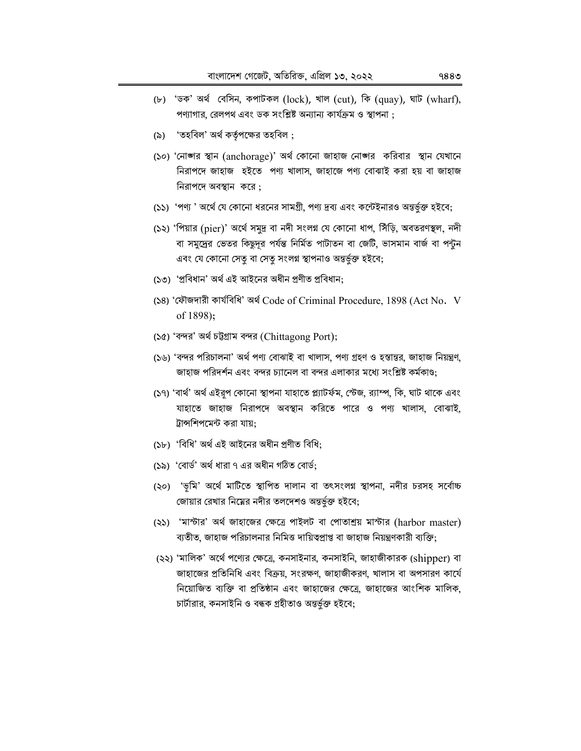- (৮) 'ডক' অৰ্থ বেসিন, কপাটকল (lock), খাল (cut), কি (quay), ঘাট (wharf), পণ্যাগার, রেলপথ এবং ডক সংশ্লিষ্ট অন্যান্য কার্যক্রম ও স্থাপনা :
- (৯) 'তহবিল' অর্থ কর্তৃপক্ষের তহবিল ;
- (১০) 'নোজ্গর স্থান (anchorage)' অর্থ কোনো জাহাজ নোজ্গর করিবার স্থান যেখানে নিরাপদে জাহাজ হইতে পণ্য খালাস, জাহাজে পণ্য বোঝাই করা হয় বা জাহাজ নিরাপদে অবস্থান করে:
- (১১) 'পণ্য' অর্থে যে কোনো ধরনের সামগ্রী, পণ্য দ্রব্য এবং কন্টেইনারও অন্তর্ভুক্ত হইবে;
- (১২) 'পিয়ার (pier)' অর্থে সমুদ্র বা নদী সংলগ্ন যে কোনো ধাপ, সিঁড়ি, অবতরণস্থল, নদী বা সমুদ্রের ভেতর কিছুদূর পর্যন্ত নির্মিত পাটাতন বা জেটি, ভাসমান বার্জ বা পন্টুন এবং যে কোনো সেতু বা সেতু সংলগ্ন স্থাপনাও অন্তৰ্ভুক্ত হইবে;
- (১৩) 'প্ৰবিধান' অৰ্থ এই আইনের অধীন প্ৰণীত প্ৰবিধান:
- (১৪) 'ফৌজদারী কার্যবিধি' অর্থ Code of Criminal Procedure, 1898 (Act No. V of 1898);
- (১৫) 'বন্দর' অর্থ চট্টগ্রাম বন্দর (Chittagong Port);
- (১৬) 'বন্দর পরিচালনা' অর্থ পণ্য বোঝাই বা খালাস, পণ্য গ্রহণ ও হস্তান্তর, জাহাজ নিয়ন্ত্রণ, জাহাজ পরিদর্শন এবং বন্দর চ্যানেল বা বন্দর এলাকার মধ্যে সংশ্লিষ্ট কর্মকাণ্ড:
- (১৭) 'বার্থ' অর্থ এইরূপ কোনো স্থাপনা যাহাতে প্ল্যাটর্ফম, স্টেজ, র্যাম্প, কি, ঘাট থাকে এবং যাহাতে জাহাজ নিরাপদে অবস্থান করিতে পারে ও পণ্য খালাস, বোঝাই, ট্রান্সশিপমেন্ট করা যায়:
- (১৮) 'বিধি' অৰ্থ এই আইনের অধীন প্ৰণীত বিধি:
- (১৯) 'বোর্ড' অর্থ ধারা ৭ এর অধীন গঠিত বোর্ড;
- (২০) 'ভূমি' অর্থে মাটিতে স্থাপিত দালান বা তৎসংলগ্ন স্থাপনা, নদীর চরসহ সর্বোচ্চ জোয়ার রেখার নিম্নের নদীর তলদেশও অন্তর্ভূক্ত হইবে;
- (২১) 'মান্টার' অর্থ জাহাজের ক্ষেত্রে পাইলট বা পোতাশ্রয় মান্টার (harbor master) ব্যতীত, জাহাজ পরিচালনার নিমিত্ত দায়িত্বপ্রাপ্ত বা জাহাজ নিয়ন্ত্রণকারী ব্যক্তি;
- (২২) 'মালিক' অর্থে পণ্যের ক্ষেত্রে, কনসাইনার, কনসাইনি, জাহাজীকারক (shipper) বা জাহাজের প্রতিনিধি এবং বিক্রয়, সংরক্ষণ, জাহাজীকরণ, খালাস বা অপসারণ কার্যে নিয়োজিত ব্যক্তি বা প্রতিষ্ঠান এবং জাহাজের ক্ষেত্রে, জাহাজের আংশিক মালিক, চার্টারার, কনসাইনি ও বন্ধক গ্রহীতাও অন্তর্ভূক্ত হইবে;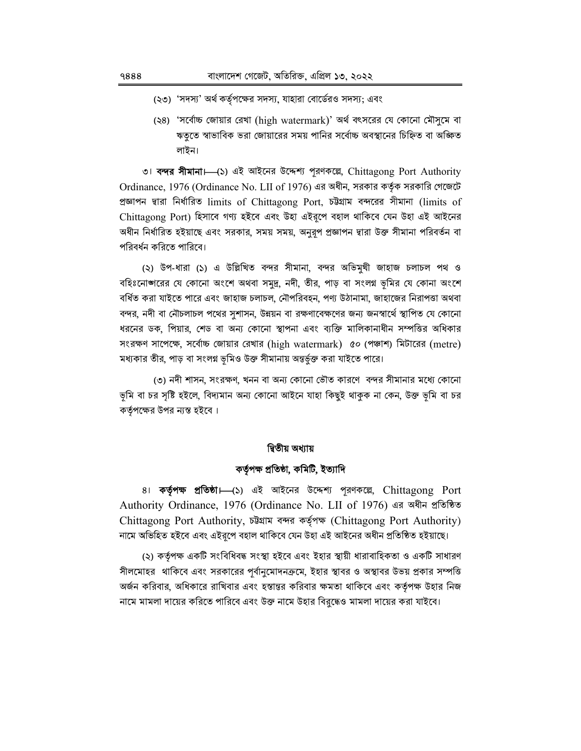- (২৩) 'সদস্য' অর্থ কর্তৃপক্ষের সদস্য, যাহারা বোর্ডেরও সদস্য; এবং
- (২৪) 'সর্বোচ্চ জোয়ার রেখা (high watermark)' অর্থ বৎসরের যে কোনো মৌসুমে বা ঋতৃতে স্বাভাবিক ভরা জোয়ারের সময় পানির সর্বোচ্চ অবস্থানের চিহ্নিত বা অজ্ঞিত লাইন।

া বন্দর সীমানা। (১) এই আইনের উদ্দেশ্য পুরণকল্লে, Chittagong Port Authority Ordinance, 1976 (Ordinance No. LII of 1976) এর অধীন, সরকার কর্তৃক সরকারি গেজেটে প্রজ্ঞাপন দ্বারা নির্ধারিত limits of Chittagong Port, চউগ্রাম বন্দরের সীমানা (limits of Chittagong Port) হিসাবে গণ্য হইবে এবং উহা এইরপে বহাল থাকিবে যেন উহা এই আইনের অধীন নির্ধারিত হইয়াছে এবং সরকার, সময় সময়, অনুরূপ প্রজ্ঞাপন দ্বারা উক্ত সীমানা পরিবর্তন বা পরিবর্ধন করিতে পারিবে।

(২) উপ-ধারা (১) এ উল্লিখিত বন্দর সীমানা, বন্দর অভিমুখী জাহাজ চলাচল পথ ও বহিঃনোজ্ঞারের যে কোনো অংশে অথবা সমুদ্র, নদী, তীর, পাড় বা সংলগ্ন ভূমির যে কোনা অংশে বর্ধিত করা যাইতে পারে এবং জাহাজ চলাচল, নৌপরিবহন, পণ্য উঠানামা, জাহাজের নিরাপত্তা অথবা বন্দর, নদী বা নৌচলাচল পথের সুশাসন, উন্নয়ন বা রক্ষণাবেক্ষণের জন্য জনস্বার্থে স্থাপিত যে কোনো ধরনের ডক, পিয়ার, শেড বা অন্য কোনো স্থাপনা এবং ব্যক্তি মালিকানাধীন সম্পত্তির অধিকার সংরক্ষণ সাপেক্ষে, সর্বোচ্চ জোয়ার রেখার (high watermark) ৫০ (পঞ্চাশ) মিটারের (metre) মধ্যকার তীর, পাড় বা সংলগ্ন ভূমিও উক্ত সীমানায় অন্তর্ভুক্ত করা যাইতে পারে।

(৩) নদী শাসন, সংরক্ষণ, খনন বা অন্য কোনো ভৌত কারণে বন্দর সীমানার মধ্যে কোনো ভূমি বা চর সৃষ্টি হইলে, বিদ্যমান অন্য কোনো আইনে যাহা কিছুই থাকুক না কেন, উক্ত ভূমি বা চর কর্তৃপক্ষের উপর ন্যস্ত হইবে।

### দ্বিতীয় অধ্যায়

## কৰ্তৃপক্ষ প্ৰতিষ্ঠা, কমিটি, ইত্যাদি

8। কর্তৃপক্ষ প্রতিষ্ঠা—(১) এই আইনের উদ্দেশ্য পূরণকল্পে, Chittagong Port Authority Ordinance, 1976 (Ordinance No. LII of 1976) এর অধীন প্রতিষ্ঠিত Chittagong Port Authority, চউগ্ৰাম বন্দৰ কৰ্তৃপক্ষ (Chittagong Port Authority) নামে অভিহিত হইবে এবং এইরপে বহাল থাকিবে যেন উহা এই আইনের অধীন প্রতিষ্ঠিত হইয়াছে।

(২) কর্তৃপক্ষ একটি সংবিধিবদ্ধ সংস্থা হইবে এবং ইহার স্থায়ী ধারাবাহিকতা ও একটি সাধারণ সীলমোহর থাকিবে এবং সরকারের পূর্বানুমোদনক্রমে, ইহার স্থাবর ও অস্থাবর উভয় প্রকার সম্পত্তি অর্জন করিবার, অধিকারে রাখিবার এবং হস্তান্তর করিবার ক্ষমতা থাকিবে এবং কর্তৃপক্ষ উহার নিজ নামে মামলা দায়ের করিতে পারিবে এবং উক্ত নামে উহার বিরুদ্ধেও মামলা দায়ের করা যাইবে।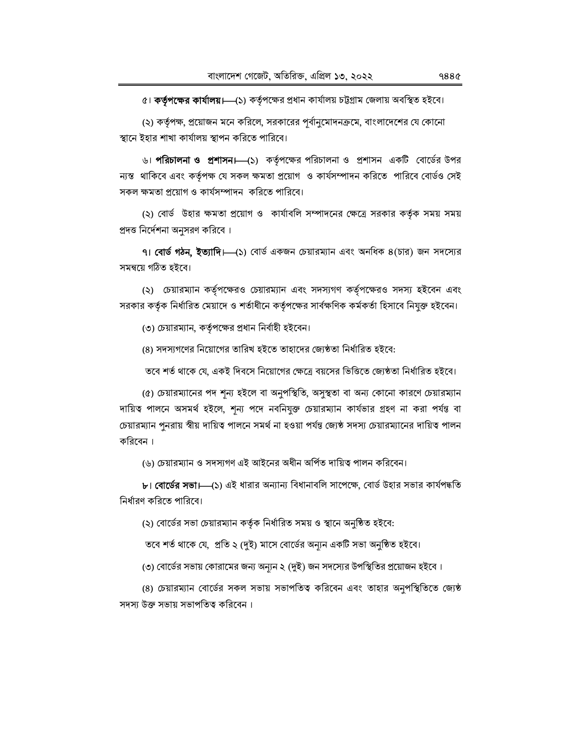৫। কর্তৃপক্ষের কার্যালয়। (১) কর্তৃপক্ষের প্রধান কার্যালয় চট্টগ্রাম জেলায় অবস্থিত হইবে।

(২) কর্তৃপক্ষ, প্রয়োজন মনে করিলে, সরকারের পূর্বানুমোদনক্রমে, বাংলাদেশের যে কোনো স্থানে ইহার শাখা কার্যালয় স্থাপন করিতে পারিবে।

৬। **পরিচালনা ও প্রশাসন।—(১**) কর্তৃপক্ষের পরিচালনা ও প্রশাসন একটি বোর্ডের উপর ন্যস্ত থাকিবে এবং কর্তৃপক্ষ যে সকল ক্ষমতা প্রয়োগ ও কার্যসম্পাদন করিতে পারিবে বোর্ডও সেই সকল ক্ষমতা প্রয়োগ ও কার্যসম্পাদন করিতে পারিবে।

(২) বোর্ড উহার ক্ষমতা প্রয়োগ ও কার্যাবলি সম্পাদনের ক্ষেত্রে সরকার কর্তৃক সময় সময় প্রদত্ত নির্দেশনা অনুসরণ করিবে ।

৭। **বোর্ড গঠন, ইত্যাদি।—**(১) বোর্ড একজন চেয়ারম্যান এবং অনধিক ৪(চার) জন সদস্যের সমন্বয়ে গঠিত হইবে।

(২) চেয়ারম্যান কর্তৃপক্ষেরও চেয়ারম্যান এবং সদস্যগণ কর্তৃপক্ষেরও সদস্য হইবেন এবং সরকার কর্তৃক নির্ধারিত মেয়াদে ও শর্তাধীনে কর্তৃপক্ষের সার্বক্ষণিক কর্মকর্তা হিসাবে নিযুক্ত হইবেন।

(৩) চেয়ারম্যান, কর্তৃপক্ষের প্রধান নির্বাহী হইবেন।

(৪) সদস্যগণের নিয়োগের তারিখ হইতে তাহাদের জ্যেষ্ঠতা নির্ধারিত হইবে:

তবে শর্ত থাকে যে, একই দিবসে নিয়োগের ক্ষেত্রে বয়সের ভিত্তিতে জ্যেষ্ঠতা নির্ধারিত হইবে।

(৫) চেয়ারম্যানের পদ শূন্য হইলে বা অনুপস্থিতি, অসুস্থতা বা অন্য কোনো কারণে চেয়ারম্যান দায়িত্ব পালনে অসমর্থ হইলে, শূন্য পদে নবনিযুক্ত চেয়ারম্যান কার্যভার গ্রহণ না করা পর্যন্ত বা চেয়ারম্যান পুনরায় স্বীয় দায়িত্ব পালনে সমর্থ না হওয়া পর্যন্ত জ্যেষ্ঠ সদস্য চেয়ারম্যানের দায়িত্ব পালন করিবেন।

(৬) চেয়ারম্যান ও সদস্যগণ এই আইনের অধীন অর্পিত দায়িত্ব পালন করিবেন।

৮। বোর্ডের সভা।—(১) এই ধারার অন্যান্য বিধানাবলি সাপেক্ষে, বোর্ড উহার সভার কার্যপদ্ধতি নিৰ্ধারণ করিতে পারিবে।

(২) বোর্ডের সভা চেয়ারম্যান কর্তৃক নির্ধারিত সময় ও স্থানে অনুষ্ঠিত হইবে:

তবে শর্ত থাকে যে, প্রতি ২ (দুই) মাসে বোর্ডের অন্যূন একটি সভা অনুষ্ঠিত হইবে।

(৩) বোর্ডের সভায় কোরামের জন্য অন্যুন ২ (দুই) জন সদস্যের উপস্থিতির প্রয়োজন হইবে।

(৪) চেয়ারম্যান বোর্ডের সকল সভায় সভাপতিত্ব করিবেন এবং তাহার অনুপস্থিতিতে জ্যেষ্ঠ সদস্য উক্ত সভায় সভাপতিত্ব করিবেন।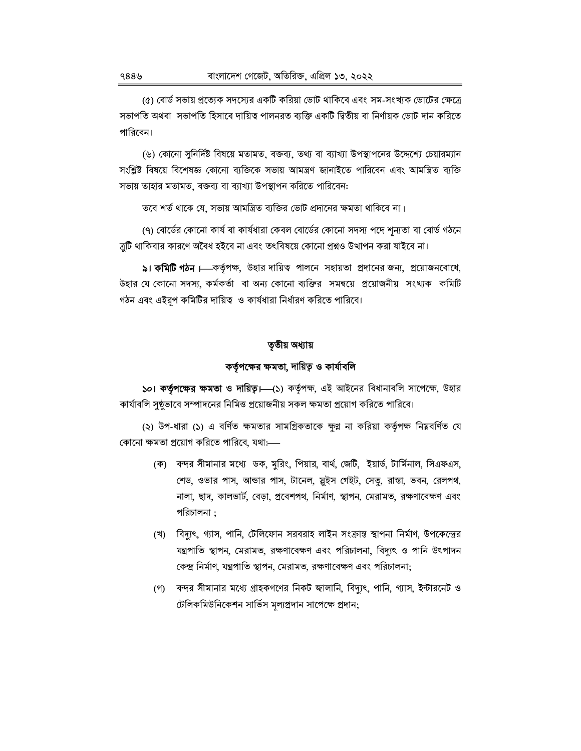(৫) বোর্ড সভায় প্রত্যেক সদস্যের একটি করিয়া ভোট থাকিবে এবং সম-সংখ্যক ভোটের ক্ষেত্রে সভাপতি অথবা সভাপতি হিসাবে দায়িত্ব পালনরত ব্যক্তি একটি দ্বিতীয় বা নির্ণায়ক ভোট দান করিতে পারিবেন।

(৬) কোনো সুনির্দিষ্ট বিষয়ে মতামত, বক্তব্য, তথ্য বা ব্যাখ্যা উপস্থাপনের উদ্দেশ্যে চেয়ারম্যান সংশ্লিষ্ট বিষয়ে বিশেষজ্ঞ কোনো ব্যক্তিকে সভায় আমন্ত্ৰণ জানাইতে পারিবেন এবং আমন্ত্ৰিত ব্যক্তি সভায় তাহার মতামত, বক্তব্য বা ব্যাখ্যা উপস্থাপন করিতে পারিবেন:

তবে শর্ত থাকে যে, সভায় আমন্ত্রিত ব্যক্তির ভোট প্রদানের ক্ষমতা থাকিবে না।

(৭) বোর্ডের কোনো কার্য বা কার্যধারা কেবল বোর্ডের কোনো সদস্য পদে শন্যতা বা বোর্ড গঠনে ত্রুটি থাকিবার কারণে অবৈধ হইবে না এবং তৎবিষয়ে কোনো প্রশ্নও উত্থাপন করা যাইবে না।

৯। **কমিটি গঠন।**—কর্তৃপক্ষ, উহার দায়িত্ব পালনে সহায়তা প্রদানের জন্য, প্রয়োজনবোধে, উহার যে কোনো সদস্য, কর্মকর্তা বা অন্য কোনো ব্যক্তির সমন্বয়ে প্রয়োজনীয় সংখ্যক কমিটি গঠন এবং এইরূপ কমিটির দায়িত্ব ও কার্যধারা নির্ধারণ করিতে পারিবে।

### তৃতীয় অধ্যায়

# কর্তৃপক্ষের ক্ষমতা, দায়িত্ব ও কার্যাবলি

১০। কর্তৃপক্ষের ক্ষমতা ও দায়িত্ব। (১) কর্তৃপক্ষ, এই আইনের বিধানাবলি সাপেক্ষে, উহার কার্যাবলি সুষ্ঠভাবে সম্পাদনের নিমিত্ত প্রয়োজনীয় সকল ক্ষমতা প্রয়োগ করিতে পারিবে।

(২) উপ-ধারা (১) এ বর্ণিত ক্ষমতার সামগ্রিকতাকে ক্ষুণ্ণ না করিয়া কর্তৃপক্ষ নিম্নবর্ণিত যে কোনো ক্ষমতা প্রয়োগ করিতে পারিবে, যথা:—–

- (ক) বন্দর সীমানার মধ্যে ডক, মুরিং, পিয়ার, বার্থ, জেটি, ইয়ার্ড, টার্মিনাল, সিএফএস, শেড, ওভার পাস, আন্ডার পাস, টানেল, স্ত্রইস গেইট, সেতু, রাস্তা, ভবন, রেলপথ, নালা, ছাদ, কালভার্ট, বেড়া, প্রবেশপথ, নির্মাণ, স্থাপন, মেরামত, রক্ষণাবেক্ষণ এবং পরিচালনা :
- (খ) বিদ্যুৎ, গ্যাস, পানি, টেলিফোন সরবরাহ লাইন সংক্রান্ত স্থাপনা নির্মাণ, উপকেন্দ্রের যন্ত্রপাতি স্থাপন, মেরামত, রক্ষণাবেক্ষণ এবং পরিচালনা, বিদ্যুৎ ও পানি উৎপাদন কেন্দ্র নির্মাণ, যন্ত্রপাতি স্থাপন, মেরামত, রক্ষণাবেক্ষণ এবং পরিচালনা;
- (গ) বন্দর সীমানার মধ্যে গ্রাহকগণের নিকট জ্বালানি, বিদ্যুৎ, পানি, গ্যাস, ইন্টারনেট ও টেলিকমিউনিকেশন সার্ভিস মূল্যপ্রদান সাপেক্ষে প্রদান;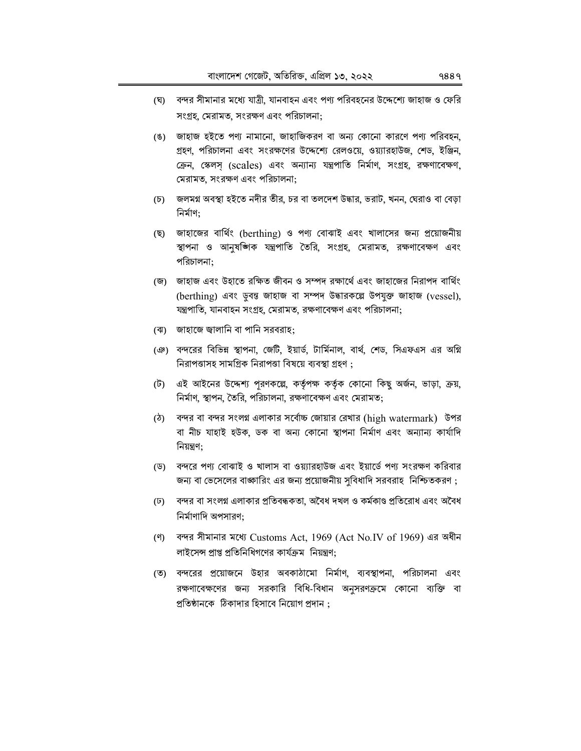- (ঘ) বন্দর সীমানার মধ্যে যাত্রী, যানবাহন এবং পণ্য পরিবহনের উদ্দেশ্যে জাহাজ ও ফেরি সংগ্ৰহ, মেরামত, সংরক্ষণ এবং পরিচালনা:
- (ঙ) জাহাজ হইতে পণ্য নামানো, জাহাজিকরণ বা অন্য কোনো কারণে পণ্য পরিবহন, গ্রহণ, পরিচালনা এবং সংরক্ষণের উদ্দেশ্যে রেলওয়ে, ওয়্যারহাউজ, শেড, ইঞ্জিন, ক্রেন, স্কেলস (scales) এবং অন্যান্য যন্ত্রপাতি নির্মাণ, সংগ্রহ, রক্ষণাবেক্ষণ, মেরামত, সংরক্ষণ এবং পরিচালনা;
- (চ) জলমগ্ন অবস্থা হইতে নদীর তীর, চর বা তলদেশ উদ্ধার, ভরাট, খনন, ঘেরাও বা বেড়া নিৰ্মাণ:
- (ছ) জাহাজের বার্থিং (berthing) ও পণ্য বোঝাই এবং খালাসের জন্য প্রয়োজনীয় স্থাপনা ও আনুষজ্ঞিক যন্ত্রপাতি তৈরি, সংগ্রহ, মেরামত, রক্ষণাবেক্ষণ এবং পরিচালনা;
- (জ) জাহাজ এবং উহাতে রক্ষিত জীবন ও সম্পদ রক্ষার্থে এবং জাহাজের নিরাপদ বার্থিং (berthing) এবং ড়বন্ত জাহাজ বা সম্পদ উদ্ধারকল্পে উপযুক্ত জাহাজ (vessel), যন্ত্রপাতি, যানবাহন সংগ্রহ, মেরামত, রক্ষণাবেক্ষণ এবং পরিচালনা;
- (ঝ) জাহাজে জ্বালানি বা পানি সরবরাহ:
- (ঞ) বন্দরের বিভিন্ন স্থাপনা, জেটি, ইয়ার্ড, টার্মিনাল, বার্থ, শেড, সিএফএস এর অগ্নি নিরাপত্তাসহ সামগ্রিক নিরাপত্তা বিষয়ে ব্যবস্থা গ্রহণ:
- (ট) এই আইনের উদ্দেশ্য পরণকল্পে, কর্তৃপক্ষ কর্তৃক কোনো কিছু অর্জন, ভাড়া, ক্রয়, নির্মাণ, স্থাপন, তৈরি, পরিচালনা, রক্ষণাবেক্ষণ এবং মেরামত:
- (ঠ) বন্দর বা বন্দর সংলগ্ন এলাকার সর্বোচ্চ জোয়ার রেখার (high watermark) উপর বা নীচ যাহাই হউক, ডক বা অন্য কোনো স্থাপনা নিৰ্মাণ এবং অন্যান্য কাৰ্যাদি নিয়ন্ত্রণ:
- (ড) বন্দরে পণ্য বোঝাই ও খালাস বা ওয়্যারহাউজ এবং ইয়ার্ডে পণ্য সংরক্ষণ করিবার জন্য বা ভেসেলের বাজ্ঞারিং এর জন্য প্রয়োজনীয় সুবিধাদি সরবরাহ নিশ্চিতকরণ;
- (ঢ) বন্দর বা সংলগ্ন এলাকার প্রতিবন্ধকতা, অবৈধ দখল ও কর্মকাণ্ড প্রতিরোধ এবং অবৈধ নিৰ্মাণাদি অপসারণ:
- (ণ) বন্দর সীমানার মধ্যে Customs Act, 1969 (Act No.IV of 1969) এর অধীন লাইসেন্স প্রাপ্ত প্রতিনিধিগণের কার্যক্রম নিয়ন্ত্রণ:
- (ত) বন্দরের প্রয়োজনে উহার অবকাঠামো নির্মাণ, ব্যবস্থাপনা, পরিচালনা এবং রক্ষণাবেক্ষণের জন্য সরকারি বিধি-বিধান অনুসরণক্রমে কোনো ব্যক্তি বা প্রতিষ্ঠানকে ঠিকাদার হিসাবে নিয়োগ প্রদান :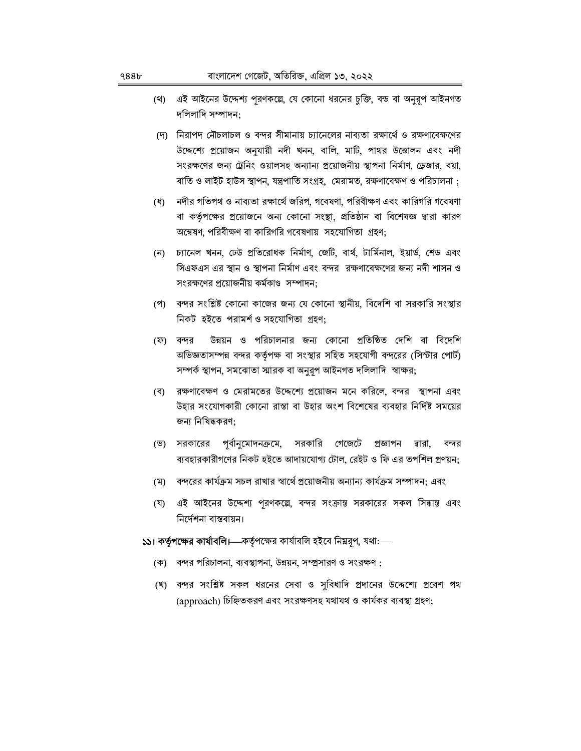- (থ) এই আইনের উদ্দেশ্য পুরণকল্লে, যে কোনো ধরনের চুক্তি, বন্ড বা অনুরূপ আইনগত দলিলাদি সম্পাদন:
- (দ) নিরাপদ নৌচলাচল ও বন্দর সীমানায় চ্যানেলের নাব্যতা রক্ষার্থে ও রক্ষণাবেক্ষণের উদ্দেশ্যে প্রয়োজন অনুযায়ী নদী খনন, বালি, মাটি, পাথর উত্তোলন এবং নদী সংরক্ষণের জন্য ট্রেনিং ওয়ালসহ অন্যান্য প্রয়োজনীয় স্থাপনা নির্মাণ, ড্রেজার, বয়া, বাতি ও লাইট হাউস স্থাপন, যন্ত্রপাতি সংগ্রহ, মেরামত, রক্ষণাবেক্ষণ ও পরিচালনা ;
- (ধ) নদীর গতিপথ ও নাব্যতা রক্ষার্থে জরিপ, গবেষণা, পরিবীক্ষণ এবং কারিগরি গবেষণা বা কর্তৃপক্ষের প্রয়োজনে অন্য কোনো সংস্থা, প্রতিষ্ঠান বা বিশেষজ্ঞ দ্বারা কারণ অন্বেষণ, পরিবীক্ষণ বা কারিগরি গবেষণায় সহযোগিতা গ্রহণ;
- (ন) চ্যানেল খনন, ঢেউ প্রতিরোধক নির্মাণ, জেটি, বার্থ, টার্মিনাল, ইয়ার্ড, শেড এবং সিএফএস এর স্থান ও স্থাপনা নির্মাণ এবং বন্দর রক্ষণাবেক্ষণের জন্য নদী শাসন ও সংরক্ষণের প্রয়োজনীয় কর্মকাণ্ড সম্পাদন:
- (প) বন্দর সংশ্লিষ্ট কোনো কাজের জন্য যে কোনো স্থানীয়, বিদেশি বা সরকারি সংস্থার নিকট হইতে পরামর্শ ও সহযোগিতা গ্রহণ;
- উন্নয়ন ও পরিচালনার জন্য কোনো প্রতিষ্ঠিত দেশি বা বিদেশি (ফ) বন্দর অভিজ্ঞতাসম্পন্ন বন্দর কর্তৃপক্ষ বা সংস্থার সহিত সহযোগী বন্দরের (সিন্টার পোর্ট) সম্পর্ক স্থাপন, সমঝোতা স্মারক বা অনুরূপ আইনগত দলিলাদি স্বাক্ষর;
- (ব) রক্ষণাবেক্ষণ ও মেরামতের উদ্দেশ্যে প্রয়োজন মনে করিলে, বন্দর স্থাপনা এবং উহার সংযোগকারী কোনো রাস্তা বা উহার অংশ বিশেষের ব্যবহার নির্দিষ্ট সময়ের জন্য নিষিদ্ধকরণ;
- প্র্বানুমোদনক্রমে, সরকারি গেজেটে প্রজ্ঞাপন দ্বারা, (ভ) সরকারের বন্দর ব্যবহারকারীগণের নিকট হইতে আদায়যোগ্য টোল, রেইট ও ফি এর তপশিল প্রণয়ন;
- (ম) বন্দরের কার্যক্রম সচল রাখার স্বার্থে প্রয়োজনীয় অন্যান্য কার্যক্রম সম্পাদন: এবং
- (য) এই আইনের উদ্দেশ্য পুরণকল্লে, বন্দর সংক্রান্ত সরকারের সকল সিদ্ধান্ত এবং নিৰ্দেশনা বাস্তবায়ন।
- ১১। কর্তৃপক্ষের কার্যাবলি।—কর্তৃপক্ষের কার্যাবলি হইবে নিম্নরূপ, যথা:—
	- (ক) বন্দর পরিচালনা, ব্যবস্থাপনা, উন্নয়ন, সম্প্রসারণ ও সংরক্ষণ ;
	- (খ) বন্দর সংশ্লিষ্ট সকল ধরনের সেবা ও সুবিধাদি প্রদানের উদ্দেশ্যে প্রবেশ পথ (approach) চিহ্নিতকরণ এবং সংরক্ষণসহ যথাযথ ও কার্যকর ব্যবস্থা গ্রহণ;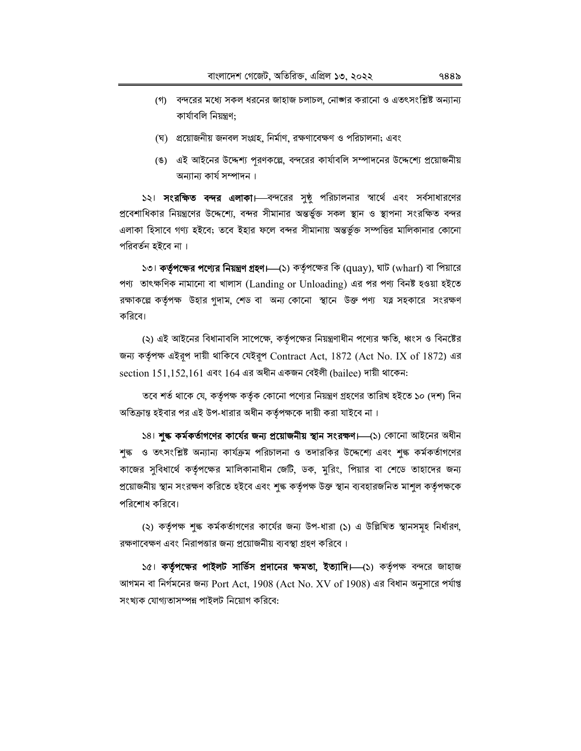- (গ) বন্দরের মধ্যে সকল ধরনের জাহাজ চলাচল, নোঙ্গার করানো ও এতৎসংশ্লিষ্ট অন্যান্য কাৰ্যাবলি নিয়ন্ত্ৰণ:
- (ঘ) প্রয়োজনীয় জনবল সংগ্রহ, নির্মাণ, রক্ষণাবেক্ষণ ও পরিচালনা; এবং
- (ঙ) এই আইনের উদ্দেশ্য পূরণকল্পে, বন্দরের কার্যাবলি সম্পাদনের উদ্দেশ্যে প্রয়োজনীয় অন্যান্য কাৰ্য সম্পাদন ।

১২। **সংরক্ষিত বন্দর এলাকা।** বন্দরের সুষ্ঠু পরিচালনার স্বার্থে এবং সর্বসাধারণের প্রবেশাধিকার নিয়ন্ত্রণের উদ্দেশ্যে, বন্দর সীমানার অন্তর্ভুক্ত সকল স্থান ও স্থাপনা সংরক্ষিত বন্দর এলাকা হিসাবে গণ্য হইবে; তবে ইহার ফলে বন্দর সীমানায় অন্তর্ভুক্ত সম্পত্তির মালিকানার কোনো পরিবর্তন হইবে না ।

১৩। কর্তৃপক্ষের পণ্যের নিয়ন্ত্রণ গ্রহণ।—(১) কর্তৃপক্ষের কি (quay), ঘাট (wharf) বা পিয়ারে পণ্য তাৎক্ষণিক নামানো বা খালাস (Landing or Unloading) এর পর পণ্য বিনষ্ট হওয়া হইতে রক্ষাকল্পে কর্তৃপক্ষ উহার গুদাম, শেড বা অন্য কোনো স্থানে উক্ত পণ্য যত্ন সহকারে সংরক্ষণ করিবে।

(২) এই আইনের বিধানাবলি সাপেক্ষে, কর্তৃপক্ষের নিয়ন্ত্রণাধীন পণ্যের ক্ষতি, ধ্বংস ও বিনষ্টের জন্য কর্তৃপক্ষ এইরূপ দায়ী থাকিবে যেইরূপ Contract Act, 1872 (Act No. IX of 1872) এর section  $151.152.161$  এবং  $164$  এর অধীন একজন বেইলী (bailee) দায়ী থাকেন:

তবে শর্ত থাকে যে, কর্তৃপক্ষ কর্তৃক কোনো পণ্যের নিয়ন্ত্রণ গ্রহণের তারিখ হইতে ১০ (দশ) দিন অতিক্রান্ত হইবার পর এই উপ-ধারার অধীন কর্তৃপক্ষকে দায়ী করা যাইবে না।

১৪। শুল্ক কর্মকর্তাগণের কার্যের জন্য প্রয়োজনীয় স্থান সংরক্ষণ।—(১) কোনো আইনের অধীন শৃক্ষ ও তৎসংশ্লিষ্ট অন্যান্য কাৰ্যক্ৰম পরিচালনা ও তদারকির উদ্দেশ্যে এবং শৃক্ষ কর্মকর্তাগণের কাজের সুবিধার্থে কর্তৃপক্ষের মালিকানাধীন জেটি, ডক, মুরিং, পিয়ার বা শেডে তাহাদের জন্য প্রয়োজনীয় স্থান সংরক্ষণ করিতে হইবে এবং শৃঙ্ক কর্তৃপক্ষ উক্ত স্থান ব্যবহারজনিত মাশূল কর্তৃপক্ষকে পরিশোধ করিবে।

(২) কর্তৃপক্ষ শুল্ক কর্মকর্তাগণের কার্যের জন্য উপ-ধারা (১) এ উল্লিখিত স্থানসমূহ নির্ধারণ, রক্ষণাবেক্ষণ এবং নিরাপত্তার জন্য প্রয়োজনীয় ব্যবস্থা গ্রহণ করিবে।

১৫। **কর্তৃপক্ষের পাইলট সার্ভিস প্রদানের ক্ষমতা, ইত্যাদি।—**(১) কর্তৃপক্ষ বন্দরে জাহাজ আগমন বা নির্গমনের জন্য Port Act, 1908 (Act No. XV of 1908) এর বিধান অনুসারে পর্যাপ্ত সংখ্যক যোগ্যতাসম্পন্ন পাইলট নিয়োগ করিবে: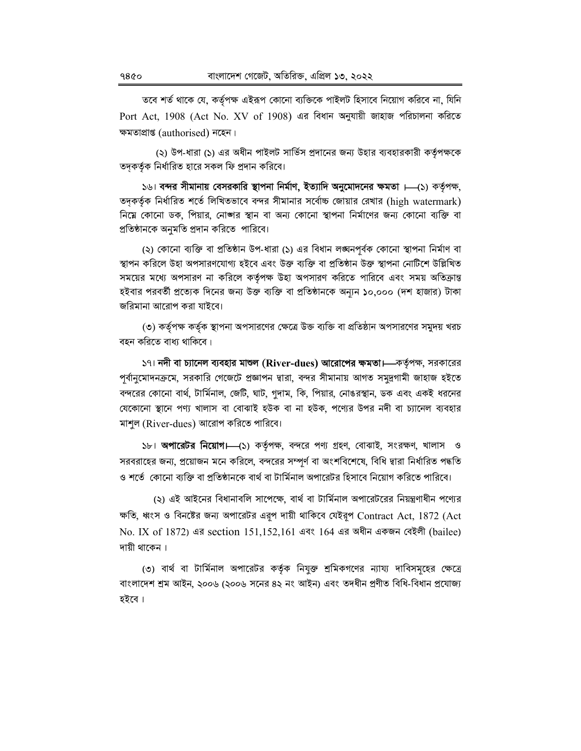তবে শর্ত থাকে যে, কর্তৃপক্ষ এইরূপ কোনো ব্যক্তিকে পাইলট হিসাবে নিয়োগ করিবে না, যিনি Port Act, 1908 (Act No. XV of 1908) এর বিধান অনুযায়ী জাহাজ পরিচালনা করিতে ক্ষমতাপ্ৰাপ্ত (authorised) নহেন।

(২) উপ-ধারা (১) এর অধীন পাইলট সার্ভিস প্রদানের জন্য উহার ব্যবহারকারী কর্তৃপক্ষকে তদকর্তৃক নির্ধারিত হারে সকল ফি প্রদান করিবে।

১৬। বন্দর সীমানায় বেসরকারি স্থাপনা নির্মাণ, ইত্যাদি অনুমোদনের ক্ষমতা ।—(১) কর্তৃপক্ষ, তদকর্তৃক নির্ধারিত শর্তে লিখিতভাবে বন্দর সীমানার সর্বোচ্চ জোয়ার রেখার (high watermark) নিম্নে কোনো ডক, পিয়ার, নোঙ্গর স্থান বা অন্য কোনো স্থাপনা নির্মাণের জন্য কোনো ব্যক্তি বা প্রতিষ্ঠানকে অনুমতি প্রদান করিতে পারিবে।

(২) কোনো ব্যক্তি বা প্রতিষ্ঠান উপ-ধারা (১) এর বিধান লঙ্ঘনপূর্বক কোনো স্থাপনা নির্মাণ বা স্থাপন করিলে উহা অপসারণযোগ্য হইবে এবং উক্ত ব্যক্তি বা প্রতিষ্ঠান উক্ত স্থাপনা নোটিশে উল্লিখিত সময়ের মধ্যে অপসারণ না করিলে কর্তৃপক্ষ উহা অপসারণ করিতে পারিবে এবং সময় অতিক্রান্ত হইবার পরবর্তী প্রত্যেক দিনের জন্য উক্ত ব্যক্তি বা প্রতিষ্ঠানকে অন্যন ১০,০০০ (দশ হাজার) টাকা জরিমানা আরোপ করা যাইবে।

(৩) কর্তৃপক্ষ কর্তৃক স্থাপনা অপসারণের ক্ষেত্রে উক্ত ব্যক্তি বা প্রতিষ্ঠান অপসারণের সমুদয় খরচ বহন করিতে বাধ্য থাকিবে।

১৭। নদী বা চ্যানেল ব্যবহার মাশুল (River-dues) **আরোপের ক্ষমতা।**—কর্তৃপক্ষ, সরকারের পূর্বানুমোদনক্রমে, সরকারি গেজেটে প্রজ্ঞাপন দ্বারা, বন্দর সীমানায় আগত সমুদ্রগামী জাহাজ হইতে বন্দরের কোনো বার্থ, টার্মিনাল, জেটি, ঘাট, গুদাম, কি, পিয়ার, নোঙরস্থান, ডক এবং একই ধরনের যেকোনো স্থানে পণ্য খালাস বা বোঝাই হউক বা না হউক, পণ্যের উপর নদী বা চ্যানেল ব্যবহার মাশূল (River-dues) আরোপ করিতে পারিবে।

১৮। **অপারেটর নিয়োগ।—**(১) কর্তৃপক্ষ, বন্দরে পণ্য গ্রহণ, বোঝাই, সংরক্ষণ, খালাস ও সরবরাহের জন্য, প্রয়োজন মনে করিলে, বন্দরের সম্পূর্ণ বা অংশবিশেষে, বিধি দ্বারা নির্ধারিত পদ্ধতি ও শর্তে কোনো ব্যক্তি বা প্রতিষ্ঠানকে বার্থ বা টার্মিনাল অপারেটর হিসাবে নিয়োগ করিতে পারিবে।

(২) এই আইনের বিধানাবলি সাপেক্ষে, বার্থ বা টার্মিনাল অপারেটরের নিয়ন্ত্রণাধীন পণ্যের ক্ষতি, ধ্বংস ও বিনষ্টের জন্য অপারেটর এরূপ দায়ী থাকিবে যেইরূপ Contract Act, 1872 (Act No. IX of 1872) এর section 151,152,161 এবং 164 এর অধীন একজন বেইলী (bailee) দায়ী থাকেন।

(৩) বার্থ বা টার্মিনাল অপারেটর কর্তৃক নিযুক্ত শ্রমিকগণের ন্যায্য দাবিসমূহের ক্ষেত্রে বাংলাদেশ শ্রম আইন, ২০০৬ (২০০৬ সনের ৪২ নং আইন) এবং তদধীন প্রণীত বিধি-বিধান প্রযোজ্য হইবে।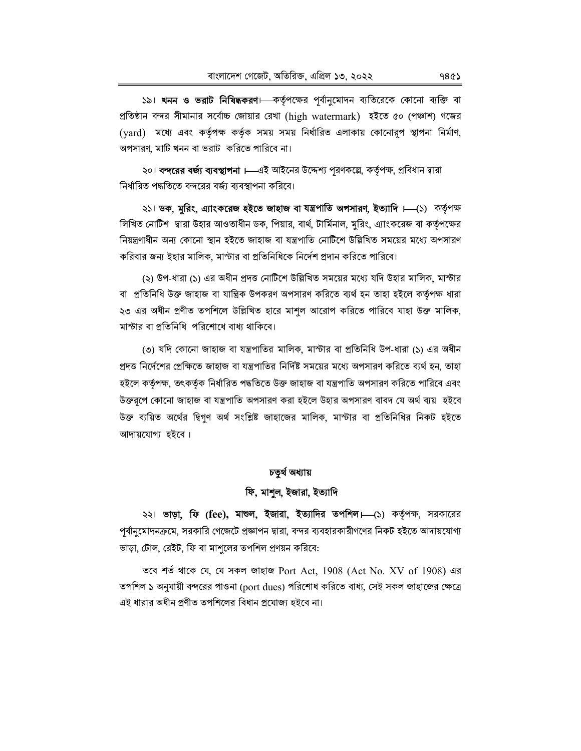১৯। খনন ও ভরাট নিষিদ্ধকরণ। কর্তৃপক্ষের পূর্বানুমোদন ব্যতিরেকে কোনো ব্যক্তি বা প্রতিষ্ঠান বন্দর সীমানার সর্বোচ্চ জোয়ার রেখা (high watermark) হইতে ৫০ (পঞ্চাশ) গজের (yard) মধ্যে এবং কর্তৃপক্ষ কর্তৃক সময় সময় নির্ধারিত এলাকায় কোনোরূপ স্থাপনা নির্মাণ, অপসারণ, মাটি খনন বা ভরাট করিতে পারিবে না।

২০। বন্দরের বর্জ্য ব্যবস্থাপনা । এই আইনের উদ্দেশ্য পরণকল্লে, কর্তৃপক্ষ, প্রবিধান দ্বারা নির্ধারিত পদ্ধতিতে বন্দরের বর্জ্য ব্যবস্থাপনা করিবে।

২১। ডক, মুরিং, এ্যাংকরেজ হইতে জাহাজ বা যন্ত্রপাতি অপসারণ, ইত্যাদি ।—(১) কর্তৃপক্ষ লিখিত নোটিশ দ্বারা উহার আওতাধীন ডক, পিয়ার, বার্থ, টার্মিনাল, মুরিং, এ্যাংকরেজ বা কর্তৃপক্ষের নিয়ন্ত্রণাধীন অন্য কোনো স্থান হইতে জাহাজ বা যন্ত্রপাতি নোটিশে উল্লিখিত সময়ের মধ্যে অপসারণ করিবার জন্য ইহার মালিক, মাস্টার বা প্রতিনিধিকে নির্দেশ প্রদান করিতে পারিবে।

(২) উপ-ধারা (১) এর অধীন প্রদত্ত নোটিশে উল্লিখিত সময়ের মধ্যে যদি উহার মালিক, মাস্টার বা প্রতিনিধি উক্ত জাহাজ বা যান্ত্রিক উপকরণ অপসারণ করিতে ব্যর্থ হন তাহা হইলে কর্তৃপক্ষ ধারা ২৩ এর অধীন প্রণীত তপশিলে উল্লিখিত হারে মাশুল আরোপ করিতে পারিবে যাহা উক্ত মালিক, মাস্টার বা প্রতিনিধি পরিশোধে বাধ্য থাকিবে।

৩) যদি কোনো জাহাজ বা যন্ত্রপাতির মালিক, মাস্টার বা প্রতিনিধি উপ-ধারা (১) এর অধীন প্রদত্ত নির্দেশের প্রেক্ষিতে জাহাজ বা যন্ত্রপাতির নির্দিষ্ট সময়ের মধ্যে অপসারণ করিতে ব্যর্থ হন, তাহা হইলে কৰ্তৃপক্ষ, তৎকৰ্তৃক নিৰ্ধারিত পদ্ধতিতে উক্ত জাহাজ বা যন্ত্রপাতি অপসারণ করিতে পারিবে এবং উক্তরূপে কোনো জাহাজ বা যন্ত্রপাতি অপসারণ করা হইলে উহার অপসারণ বাবদ যে অর্থ ব্যয় হইবে উক্ত ব্যয়িত অর্থের দ্বিগণ অর্থ সংশ্লিষ্ট জাহাজের মালিক, মাস্টার বা প্রতিনিধির নিকট হইতে আদায়যোগ্য হইবে।

## চতুৰ্থ অধ্যায়

## ফি, মাশুল, ইজারা, ইত্যাদি

২২। **ভাড়া, ফি (fee), মাশুল, ইজারা, ইত্যাদির তপশিল।—(**১) কর্তৃপক্ষ, সরকারের পর্বানুমোদনক্রমে, সরকারি গেজেটে প্রজ্ঞাপন দ্বারা, বন্দর ব্যবহারকারীগণের নিকট হইতে আদায়যোগ্য ভাড়া, টোল, রেইট, ফি বা মাশলের তপশিল প্রণয়ন করিবে:

তবে শর্ত থাকে যে, যে সকল জাহাজ Port Act, 1908 (Act No. XV of 1908) এর তপশিল ১ অনুযায়ী বন্দরের পাওনা (port dues) পরিশোধ করিতে বাধ্য, সেই সকল জাহাজের ক্ষেত্রে এই ধারার অধীন প্রণীত তপশিলের বিধান প্রযোজ্য হইবে না।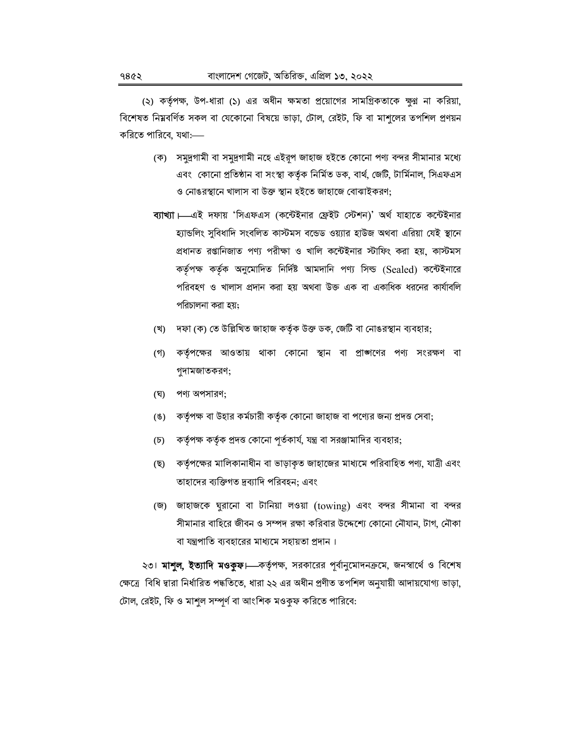(২) কর্তৃপক্ষ, উপ-ধারা (১) এর অধীন ক্ষমতা প্রয়োগের সামগ্রিকতাকে ক্ষুণ্ণ না করিয়া, বিশেষত নিম্নবর্ণিত সকল বা যেকোনো বিষয়ে ভাড়া, টোল, রেইট, ফি বা মাশুলের তপশিল প্রণয়ন করিতে পারিবে, যথা:—

- (ক) সমুদ্রগামী বা সমুদ্রগামী নহে এইরূপ জাহাজ হইতে কোনো পণ্য বন্দর সীমানার মধ্যে এবং কোনো প্রতিষ্ঠান বা সংস্থা কর্তৃক নির্মিত ডক, বার্থ, জেটি, টার্মিনাল, সিএফএস ও নোঙরস্থানে খালাস বা উক্ত স্থান হইতে জাহাজে বোঝাইকরণ;
- ব্যাখ্যা ——এই দফায় 'সিএফএস (কন্টেইনার ফ্রেইট স্টেশন)' অর্থ যাহাতে কন্টেইনার হ্যান্ডলিং সুবিধাদি সংবলিত কাস্টমস বন্ডেড ওয়্যার হাউজ অথবা এরিয়া যেই স্থানে প্রধানত রপ্তানিজাত পণ্য পরীক্ষা ও খালি কন্টেইনার স্টাফিং করা হয়, কাস্টমস কর্তৃপক্ষ কর্তৃক অনুমোদিত নির্দিষ্ট আমদানি পণ্য সিল্ড (Sealed) কন্টেইনারে পরিবহণ ও খালাস প্রদান করা হয় অথবা উক্ত এক বা একাধিক ধরনের কার্যাবলি পরিচালনা করা হয়:
- (খ) দফা (ক) তে উল্লিখিত জাহাজ কর্তৃক উক্ত ডক, জেটি বা নোঙরস্থান ব্যবহার;
- কর্তৃপক্ষের আওতায় থাকা কোনো স্থান বা প্রাঙ্গণের পণ্য সংরক্ষণ বা (গ) গুদামজাতকরণ;
- (ঘৃ) পণ্য অপসারণ;
- কর্তৃপক্ষ বা উহার কর্মচারী কর্তৃক কোনো জাহাজ বা পণ্যের জন্য প্রদত্ত সেবা;  $(8)$
- কর্তৃপক্ষ কর্তৃক প্রদত্ত কোনো পূর্তকার্য, যন্ত্র বা সরঞ্জামাদির ব্যবহার;  $(\overline{b})$
- কর্তৃপক্ষের মালিকানাধীন বা ভাড়াকৃত জাহাজের মাধ্যমে পরিবাহিত পণ্য, যাত্রী এবং (ছ) তাহাদের ব্যক্তিগত দ্রব্যাদি পরিবহন; এবং
- (জ) জাহাজকে ঘুরানো বা টানিয়া লওয়া (towing) এবং বন্দর সীমানা বা বন্দর সীমানার বাহিরে জীবন ও সম্পদ রক্ষা করিবার উদ্দেশ্যে কোনো নৌযান, টাগ, নৌকা বা যন্ত্রপাতি ব্যবহারের মাধ্যমে সহায়তা প্রদান।

২৩। **মাশুল, ইত্যাদি মওকুফ।**—কর্তৃপক্ষ, সরকারের পূর্বানুমোদনক্রমে, জনস্বার্থে ও বিশেষ ক্ষেত্রে বিধি দ্বারা নির্ধারিত পদ্ধতিতে, ধারা ২২ এর অধীন প্রণীত তপশিল অনুযায়ী আদায়যোগ্য ভাড়া, টোল, রেইট, ফি ও মাশুল সম্পূর্ণ বা আংশিক মওকুফ করিতে পারিবে: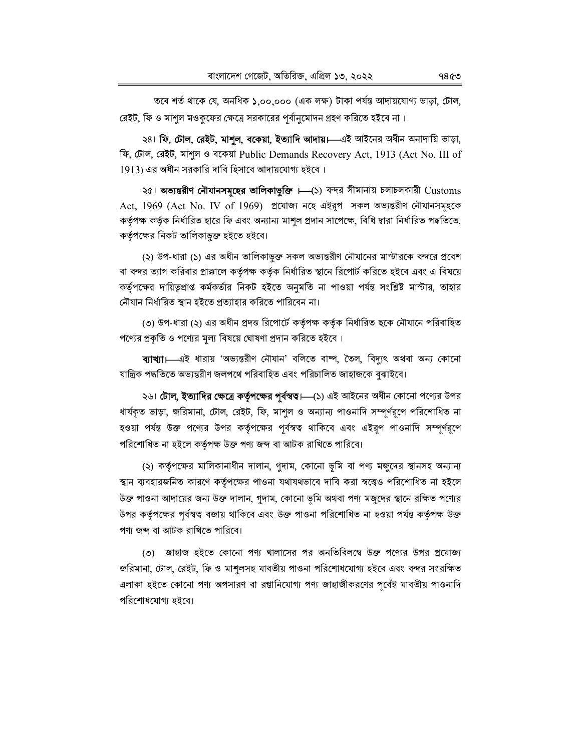তবে শর্ত থাকে যে, অনধিক ১,০০,০০০ (এক লক্ষ) টাকা পর্যন্ত আদায়যোগ্য ভাড়া, টোল, রেইট, ফি ও মাশুল মওকুফের ক্ষেত্রে সরকারের পর্বানুমোদন গ্রহণ করিতে হইবে না।

২৪। **ফি, টোল, রেইট, মাশুল, বকেয়া, ইত্যাদি আদায়।**—এই আইনের অধীন অনাদায়ি ভাড়া, ফি, টোল, রেইট, মাশুল ও বকেয়া Public Demands Recovery Act, 1913 (Act No. III of 1913) এর অধীন সরকারি দাবি হিসাবে আদায়যোগ্য হইবে।

২৫। অভ্যন্তরীণ নৌযানসমূহের তালিকাভুক্তি । (১) বন্দর সীমানায় চলাচলকারী Customs Act, 1969 (Act No. IV of 1969) প্রযোজ্য নহে এইরূপ সকল অভ্যন্তরীণ নৌযানসমূহকে কর্তৃপক্ষ কর্তৃক নির্ধারিত হারে ফি এবং অন্যান্য মাশুল প্রদান সাপেক্ষে, বিধি দ্বারা নির্ধারিত পদ্ধতিতে, কর্তৃপক্ষের নিকট তালিকাভুক্ত হইতে হইবে।

(২) উপ-ধারা (১) এর অধীন তালিকাভুক্ত সকল অভ্যন্তরীণ নৌযানের মাস্টারকে বন্দরে প্রবেশ বা বন্দর ত্যাগ করিবার প্রাক্কালে কর্তৃপক্ষ কর্তৃক নির্ধারিত স্থানে রিপোর্ট করিতে হইবে এবং এ বিষয়ে কর্তৃপক্ষের দায়িতুপ্রাপ্ত কর্মকর্তার নিকট হইতে অনুমতি না পাওয়া পর্যন্ত সংশ্লিষ্ট মাস্টার, তাহার নৌযান নির্ধারিত স্থান হইতে প্রত্যাহার করিতে পারিবেন না।

(৩) উপ-ধারা (২) এর অধীন প্রদত্ত রিপোর্টে কর্তৃপক্ষ কর্তৃক নির্ধারিত ছকে নৌযানে পরিবাহিত পণ্যের প্রকৃতি ও পণ্যের মূল্য বিষয়ে ঘোষণা প্রদান করিতে হইবে।

ব্যাখ্যা।—এই ধারায় 'অভ্যন্তরীণ নৌযান' বলিতে বাষ্প, তৈল, বিদ্যুৎ অথবা অন্য কোনো যান্ত্ৰিক পদ্ধতিতে অভ্যন্তরীণ জলপথে পরিবাহিত এবং পরিচালিত জাহাজকে বুঝাইবে।

২৬। **টোল, ইত্যাদির ক্ষেত্রে কর্তৃপক্ষের পূর্বস্বত্ব।—(**১) এই আইনের অধীন কোনো পণ্যের উপর ধার্যকৃত ভাড়া, জরিমানা, টোল, রেইট, ফি, মাশুল ও অন্যান্য পাওনাদি সম্পূর্ণরূপে পরিশোধিত না হওয়া পর্যন্ত উক্ত পণ্যের উপর কর্তৃপক্ষের পূর্বস্বত্ব থাকিবে এবং এইরুপ পাওনাদি সম্পূর্ণরূপে পরিশোধিত না হইলে কর্তৃপক্ষ উক্ত পণ্য জব্দ বা আটক রাখিতে পারিবে।

(২) কর্তৃপক্ষের মালিকানাধীন দালান, গুদাম, কোনো ভূমি বা পণ্য মজুদের স্থানসহ অন্যান্য স্থান ব্যবহারজনিত কারণে কর্তৃপক্ষের পাওনা যথাযথভাবে দাবি করা স্বত্ত্বেও পরিশোধিত না হইলে উক্ত পাওনা আদায়ের জন্য উক্ত দালান, গুদাম, কোনো ভূমি অথবা পণ্য মজুদের স্থানে রক্ষিত পণ্যের উপর কর্তৃপক্ষের পূর্বস্বত্ব বজায় থাকিবে এবং উক্ত পাওনা পরিশোধিত না হওয়া পর্যন্ত কর্তৃপক্ষ উক্ত পণ্য জব্দ বা আটক রাখিতে পারিবে।

৩) জাহাজ হইতে কোনো পণ্য খালাসের পর অনতিবিলম্বে উক্ত পণ্যের উপর প্রযোজ্য জরিমানা, টোল, রেইট, ফি ও মাশুলসহ যাবতীয় পাওনা পরিশোধযোগ্য হইবে এবং বন্দর সংরক্ষিত এলাকা হইতে কোনো পণ্য অপসারণ বা রপ্তানিযোগ্য পণ্য জাহাজীকরণের পূর্বেই যাবতীয় পাওনাদি পরিশোধযোগ্য হইবে।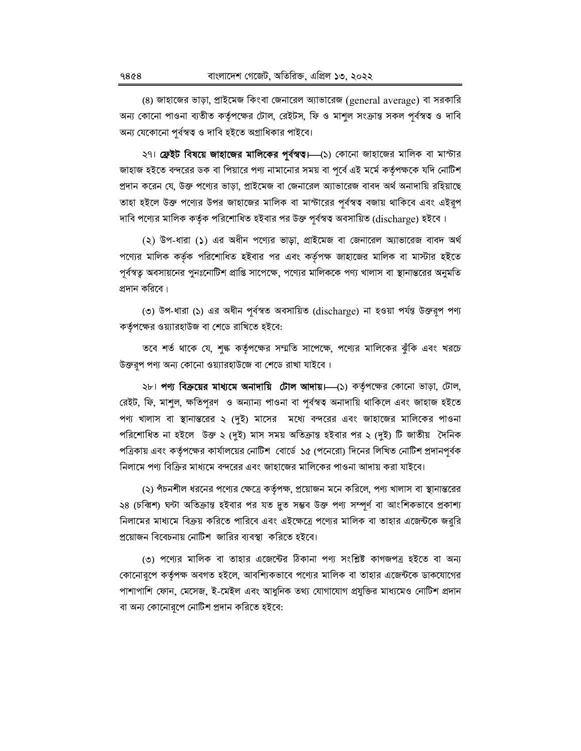(8) জাহাজের ভাড়া, প্রাইমেজ কিংবা জেনারেল অ্যাভারেজ (general average) বা সরকারি অন্য কোনো পাওনা ব্যতীত কর্তৃপক্ষের টোল, রেইটস, ফি ও মাশুল সংক্রান্ত সকল পূর্বস্বত্ব ও দাবি অন্য যেকোনো পূর্বস্বত্ব ও দাবি হইতে অগ্রাধিকার পাইবে।

২৭। **ফ্রেইট বিষয়ে জাহাজের মালিকের পূর্বস্বত।** (১) কোনো জাহাজের মালিক বা মাস্টার জাহাজ হইতে বন্দরের ডক বা পিয়ারে পণ্য নামানোর সময় বা পূর্বে এই মর্মে কর্তৃপক্ষকে যদি নোটিশ প্রদান করেন যে, উক্ত পণ্যের ভাড়া, প্রাইমেজ বা জেনারেল অ্যাভারেজ বাবদ অর্থ অনাদায়ি রহিয়াছে তাহা হইলে উক্ত পণ্যের উপর জাহাজের মালিক বা মাস্টারের পূর্বস্বত্ব বজায় থাকিবে এবং এইরূপ দাবি পণ্যের মালিক কর্তৃক পরিশোধিত হইবার পর উক্ত পূর্বস্বত্ব অবসায়িত (discharge) হইবে।

(২) উপ-ধারা (১) এর অধীন পণ্যের ভাড়া, প্রাইমেজ বা জেনারেল অ্যাভারেজ বাবদ অর্থ পণ্যের মালিক কর্তৃক পরিশোধিত হইবার পর এবং কর্তৃপক্ষ জাহাজের মালিক বা মাস্টার হইতে পূর্বস্বত্ব অবসায়নের পুনঃনোটিশ প্রাপ্তি সাপেক্ষে, পণ্যের মালিককে পণ্য খালাস বা স্থানান্তরের অনুমতি প্রদান করিবে।

(৩) উপ-ধারা (১) এর অধীন পূর্বস্বত অবসায়িত (discharge) না হওয়া পর্যন্ত উক্তরূপ পণ্য কর্তৃপক্ষের ওয়্যারহাউজ বা শেডে রাখিতে হইবে:

তবে শর্ত থাকে যে, শুল্ক কর্তৃপক্ষের সম্মতি সাপেক্ষে, পণ্যের মালিকের ঝুঁকি এবং খরচে উক্তরূপ পণ্য অন্য কোনো ওয়্যারহাউজে বা শেডে রাখা যাইবে।

২৮। পণ্য বিক্রয়ের মাধ্যমে অনাদায়ি টোল আদায়। (১) কর্তৃপক্ষের কোনো ভাড়া, টোল, রেইট, ফি, মাশুল, ক্ষতিপূরণ ও অন্যান্য পাওনা বা পূর্বস্বত্ব অনাদায়ি থাকিলে এবং জাহাজ হইতে পণ্য খালাস বা স্থানান্তরের ২ (দুই) মাসের মধ্যে বন্দরের এবং জাহাজের মালিকের পাওনা পরিশোধিত না হইলে উক্ত ২ (দুই) মাস সময় অতিক্রান্ত হইবার পর ২ (দুই) টি জাতীয় দৈনিক পত্রিকায় এবং কর্তৃপক্ষের কার্যালয়ের নোটিশ বোর্ডে ১৫ (পনেরো) দিনের লিখিত নোটিশ প্রদানপূর্বক নিলামে পণ্য বিক্রির মাধ্যমে বন্দরের এবং জাহাজের মালিকের পাওনা আদায় করা যাইবে।

(২) পঁচনশীল ধরনের পণ্যের ক্ষেত্রে কর্তৃপক্ষ, প্রয়োজন মনে করিলে, পণ্য খালাস বা স্থানান্তরের ২৪ (চব্বিশ) ঘন্টা অতিক্রান্ত হইবার পর যত দুত সম্ভব উক্ত পণ্য সম্পূর্ণ বা আংশিকভাবে প্রকাশ্য নিলামের মাধ্যমে বিক্রয় করিতে পারিবে এবং এইক্ষেত্রে পণ্যের মালিক বা তাহার এজেন্টকে জরুরি প্রয়োজন বিবেচনায় নোটিশ জারির ব্যবস্থা করিতে হইবে।

(৩) পণ্যের মালিক বা তাহার এজেন্টের ঠিকানা পণ্য সংশ্লিষ্ট কাগজপত্র হইতে বা অন্য কোনোরপে কর্তৃপক্ষ অবগত হইলে, আবশ্যিকভাবে পণ্যের মালিক বা তাহার এজেন্টকে ডাকযোগের পাশাপাশি ফোন, মেসেজ, ই-মেইল এবং আধুনিক তথ্য যোগাযোগ প্রযুক্তির মাধ্যমেও নোটিশ প্রদান বা অন্য কোনোরূপে নোটিশ প্রদান করিতে হইবে: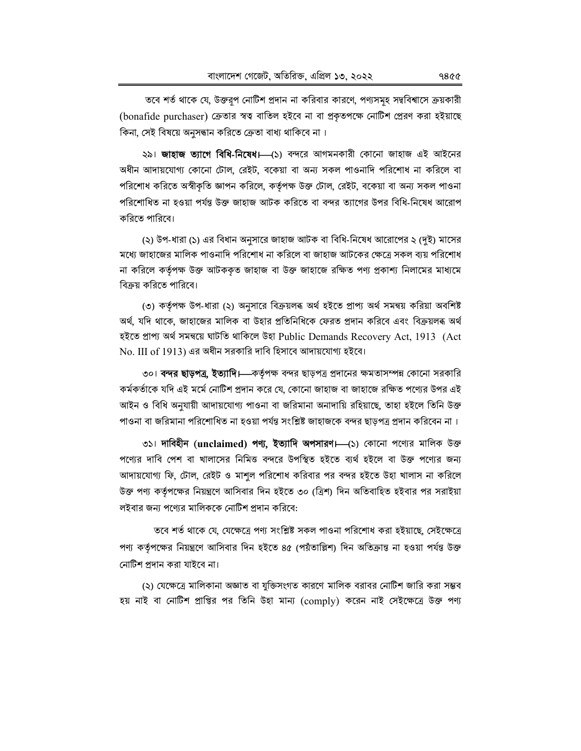তবে শর্ত থাকে যে, উক্তরপ নোটিশ প্রদান না করিবার কারণে, পণ্যসমূহ সদ্ববিশ্বাসে ক্রয়কারী (bonafide purchaser) ক্রেতার স্বত্ব বাতিল হইবে না বা প্রকৃতপক্ষে নোটিশ প্রেরণ করা হইয়াছে কিনা, সেই বিষয়ে অনুসন্ধান করিতে ক্রেতা বাধ্য থাকিবে না।

২৯। **জাহাজ ত্যাগে বিধি-নিষেধ।** (১) বন্দরে আগমনকারী কোনো জাহাজ এই আইনের অধীন আদায়যোগ্য কোনো টোল, রেইট, বকেয়া বা অন্য সকল পাওনাদি পরিশোধ না করিলে বা পরিশোধ করিতে অস্বীকৃতি জ্ঞাপন করিলে, কর্তৃপক্ষ উক্ত টোল, রেইট, বকেয়া বা অন্য সকল পাওনা পরিশোধিত না হওয়া পর্যন্ত উক্ত জাহাজ আটক করিতে বা বন্দর ত্যাগের উপর বিধি-নিষেধ আরোপ করিতে পারিবে।

(২) উপ-ধারা (১) এর বিধান অনুসারে জাহাজ আটক বা বিধি-নিষেধ আরোপের ২ (দুই) মাসের মধ্যে জাহাজের মালিক পাওনাদি পরিশোধ না করিলে বা জাহাজ আটকের ক্ষেত্রে সকল ব্যয় পরিশোধ না করিলে কর্তৃপক্ষ উক্ত আটককৃত জাহাজ বা উক্ত জাহাজে রক্ষিত পণ্য প্রকাশ্য নিলামের মাধ্যমে বিক্রয় করিতে পারিবে।

(৩) কর্তৃপক্ষ উপ-ধারা (২) অনুসারে বিক্রয়লব্ধ অর্থ হইতে প্রাপ্য অর্থ সমন্বয় করিয়া অবশিষ্ট অৰ্থ, যদি থাকে, জাহাজের মালিক বা উহার প্রতিনিধিকে ফেরত প্রদান করিবে এবং বিক্রয়লব্ধ অর্থ হইতে প্ৰাপ্য অৰ্থ সমন্বয়ে ঘাটতি থাকিলে উহা Public Demands Recovery Act, 1913 (Act No. III of 1913) এর অধীন সরকারি দাবি হিসাবে আদায়যোগ্য হইবে।

৩০। **বন্দর ছাড়পত্র, ইত্যাদি।—**কর্তৃপক্ষ বন্দর ছাড়পত্র প্রদানের ক্ষমতাসম্পন্ন কোনো সরকারি কর্মকর্তাকে যদি এই মর্মে নোটিশ প্রদান করে যে, কোনো জাহাজ বা জাহাজে রক্ষিত পণ্যের উপর এই আইন ও বিধি অনুযায়ী আদায়যোগ্য পাওনা বা জরিমানা অনাদায়ি রহিয়াছে, তাহা হইলে তিনি উক্ত পাওনা বা জরিমানা পরিশোধিত না হওয়া পর্যন্ত সংশ্লিষ্ট জাহাজকে বন্দর ছাড়পত্র প্রদান করিবেন না।

৩১। দাবিহীন (unclaimed) পণ্য, ইত্যাদি অপসারণ।—(১) কোনো পণ্যের মালিক উক্ত পণ্যের দাবি পেশ বা খালাসের নিমিত্ত বন্দরে উপস্থিত হইতে ব্যর্থ হইলে বা উক্ত পণ্যের জন্য আদায়যোগ্য ফি, টোল, রেইট ও মাশুল পরিশোধ করিবার পর বন্দর হইতে উহা খালাস না করিলে উক্ত পণ্য কর্তৃপক্ষের নিয়ন্ত্রণে আসিবার দিন হইতে ৩০ (ত্রিশ) দিন অতিবাহিত হইবার পর সরাইয়া লইবার জন্য পণ্যের মালিককে নোটিশ প্রদান করিবে:

তবে শর্ত থাকে যে, যেক্ষেত্রে পণ্য সংশ্লিষ্ট সকল পাওনা পরিশোধ করা হইয়াছে, সেইক্ষেত্রে পণ্য কর্তৃপক্ষের নিয়ন্ত্রণে আসিবার দিন হইতে ৪৫ (পয়ঁতাল্লিশ) দিন অতিক্রান্ত না হওয়া পর্যন্ত উক্ত নোটিশ প্রদান করা যাইবে না।

(২) যেক্ষেত্রে মালিকানা অজ্ঞাত বা যুক্তিসংগত কারণে মালিক বরাবর নোটিশ জারি করা সম্ভব হয় নাই বা নোটিশ প্রাপ্তির পর তিনি উহা মান্য (comply) করেন নাই সেইক্ষেত্রে উক্ত পণ্য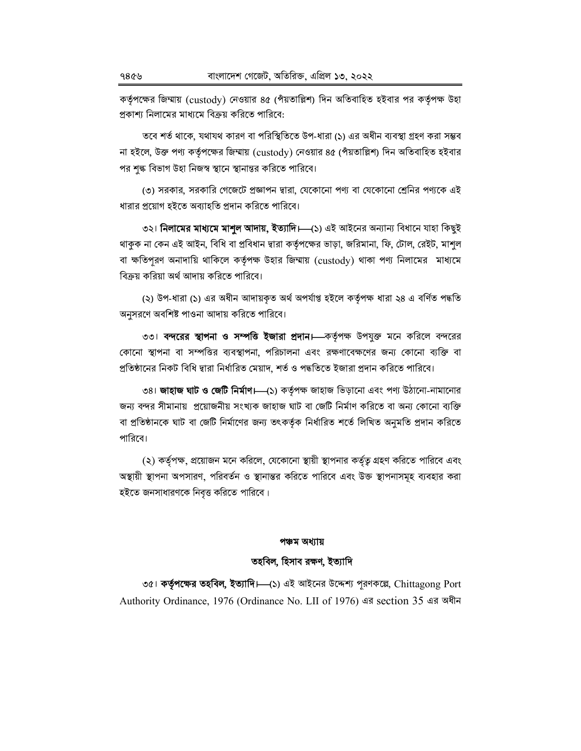কর্তৃপক্ষের জিম্মায় (custody) নেওয়ার ৪৫ (পাঁয়তাল্লিশ) দিন অতিবাহিত হইবার পর কর্তৃপক্ষ উহা প্রকাশ্য নিলামের মাধ্যমে বিক্রয় করিতে পারিবে:

তবে শর্ত থাকে, যথাযথ কারণ বা পরিস্থিতিতে উপ-ধারা (১) এর অধীন ব্যবস্থা গ্রহণ করা সম্ভব না হইলে, উক্ত পণ্য কর্তৃপক্ষের জিম্মায় (custody) নেওয়ার ৪৫ (পাঁয়তাল্লিশ) দিন অতিবাহিত হইবার পর শঙ্ক বিভাগ উহা নিজস্ব স্থানে স্থানান্তর করিতে পারিবে।

৩) সরকার, সরকারি গেজেটে প্রজ্ঞাপন দ্বারা, যেকোনো পণ্য বা যেকোনো শ্রেনির পণ্যকে এই ধারার প্রয়োগ হইতে অব্যাহতি প্রদান করিতে পারিবে।

৩২। **নিলামের মাধ্যমে মাশুল আদায়, ইত্যাদি।—(**১) এই আইনের অন্যান্য বিধানে যাহা কিছুই থাকুক না কেন এই আইন, বিধি বা প্রবিধান দ্বারা কর্তৃপক্ষের ভাড়া, জরিমানা, ফি, টোল, রেইট, মাশুল বা ক্ষতিপূরণ অনাদায়ি থাকিলে কর্তৃপক্ষ উহার জিম্মায় (custody) থাকা পণ্য নিলামের মাধ্যমে বিক্রয় করিয়া অর্থ আদায় করিতে পারিবে।

(২) উপ-ধারা (১) এর অধীন আদায়কত অর্থ অপর্যাপ্ত হইলে কর্তৃপক্ষ ধারা ২৪ এ বর্ণিত পদ্ধতি অনুসরণে অবশিষ্ট পাওনা আদায় করিতে পারিবে।

৩৩। বন্দরের স্থাপনা ও সম্পত্তি ইজারা প্রদান। কর্তৃপক্ষ উপযুক্ত মনে করিলে বন্দরের কোনো স্থাপনা বা সম্পত্তির ব্যবস্থাপনা, পরিচালনা এবং রক্ষণাবেক্ষণের জন্য কোনো ব্যক্তি বা প্রতিষ্ঠানের নিকট বিধি দ্বারা নির্ধারিত মেয়াদ, শর্ত ও পদ্ধতিতে ইজারা প্রদান করিতে পারিবে।

৩৪। **জাহাজ ঘাট ও জেটি নির্মাণ।—(**১) কর্তৃপক্ষ জাহাজ ভিড়ানো এবং পণ্য উঠানো-নামানোর জন্য বন্দর সীমানায় প্রয়োজনীয় সংখ্যক জাহাজ ঘাট বা জেটি নির্মাণ করিতে বা অন্য কোনো ব্যক্তি বা প্রতিষ্ঠানকে ঘাট বা জেটি নির্মাণের জন্য তৎকর্তৃক নির্ধারিত শর্তে লিখিত অনুমতি প্রদান করিতে পারিবে।

(২) কর্তৃপক্ষ, প্রয়োজন মনে করিলে, যেকোনো স্থায়ী স্থাপনার কর্তৃত্ব গ্রহণ করিতে পারিবে এবং অস্থায়ী স্থাপনা অপসারণ, পরিবর্তন ও স্থানান্তর করিতে পারিবে এবং উক্ত স্থাপনাসমূহ ব্যবহার করা হইতে জনসাধারণকে নিবৃত্ত করিতে পারিবে।

#### পঞ্চম অধ্যায়

## তহবিল, হিসাব রক্ষণ, ইত্যাদি

৩৫। কর্তৃপক্ষের তহবিল, ইত্যাদি।—(১) এই আইনের উদ্দেশ্য পূরণকল্লে, Chittagong Port Authority Ordinance, 1976 (Ordinance No. LII of 1976) এর section 35 এর অধীন

 $9869$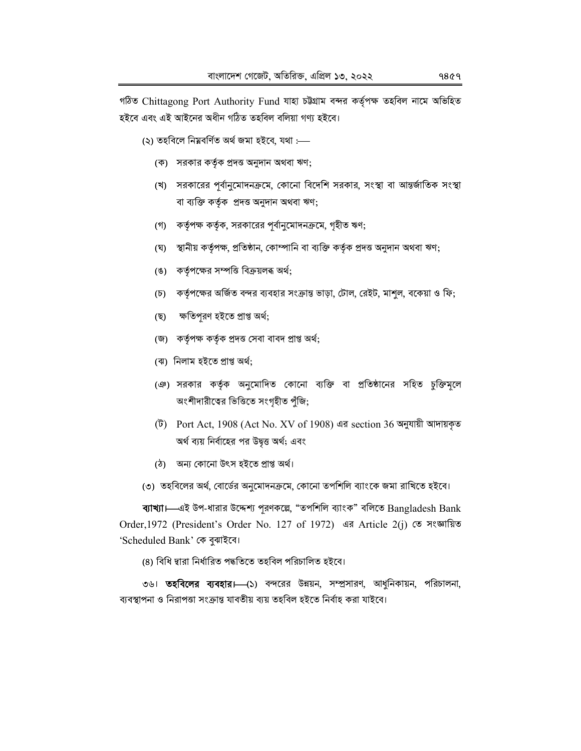গঠিত Chittagong Port Authority Fund যাহা চউগ্ৰাম বন্দর কর্তৃপক্ষ তহবিল নামে অভিহিত হইবে এবং এই আইনের অধীন গঠিত তহবিল বলিয়া গণ্য হইবে।

(২) তহবিলে নিম্নবৰ্ণিত অৰ্থ জমা হইবে, যথা :---

- (ক) সরকার কর্তৃক প্রদত্ত অনুদান অথবা ঋণ;
- (খ) সরকারের পর্বানুমোদনক্রমে, কোনো বিদেশি সরকার, সংস্থা বা আন্তর্জাতিক সংস্থা বা ব্যক্তি কর্তৃক প্রদত্ত অনুদান অথবা ঋণ;
- (গ) কর্তৃপক্ষ কর্তৃক, সরকারের পর্বানুমোদনক্রমে, গৃহীত ঋণ;
- স্থানীয় কর্তৃপক্ষ, প্রতিষ্ঠান, কোম্পানি বা ব্যক্তি কর্তৃক প্রদত্ত অনুদান অথবা ঋণ; (ঘৃ)
- (ঙ) কর্তৃপক্ষের সম্পত্তি বিক্রয়লব্ধ অর্থ;
- কর্তৃপক্ষের অর্জিত বন্দর ব্যবহার সংক্রান্ত ভাড়া, টোল, রেইট, মাশুল, বকেয়া ও ফি;  $(\mathfrak{D})$
- ক্ষতিপুরণ হইতে প্রাপ্ত অর্থ; (ছ)
- (জ) কর্তৃপক্ষ কর্তৃক প্রদত্ত সেবা বাবদ প্রাপ্ত অর্থ;
- (ঝ) নিলাম হইতে প্ৰাপ্ত অৰ্থ:
- (ঞ) সরকার কর্তৃক অনুমোদিত কোনো ব্যক্তি বা প্রতিষ্ঠানের সহিত চুক্তিমূলে অংশীদারীত্বের ভিত্তিতে সংগৃহীত পুঁজি;
- (ট) Port Act, 1908 (Act No. XV of 1908) এর section 36 অনুযায়ী আদায়কৃত অর্থ ব্যয় নির্বাহের পর উদ্বত্ত অর্থ; এবং
- (ঠ) অন্য কোনো উৎস হইতে প্ৰাপ্ত অৰ্থ।
- (৩) তহবিলের অর্থ, বোর্ডের অনুমোদনক্রমে, কোনো তপশিলি ব্যাংকে জমা রাখিতে হইবে।

ব্যাখ্যা। এই উপ-ধারার উদ্দেশ্য পূরণকল্লে, "তপশিলি ব্যাংক" বলিতে Bangladesh Bank Order, 1972 (President's Order No. 127 of 1972) এর Article 2(j) তে সংজ্ঞায়িত 'Scheduled Bank' কে বুঝাইবে।

(8) বিধি দ্বারা নির্ধারিত পদ্ধতিতে তহবিল পরিচালিত হইবে।

৩৬। **তহবিলের ব্যবহার।**—(১) বন্দরের উন্নয়ন, সম্প্রসারণ, আধুনিকায়ন, পরিচালনা, ব্যবস্থাপনা ও নিরাপত্তা সংক্রান্ত যাবতীয় ব্যয় তহবিল হইতে নির্বাহ করা যাইবে।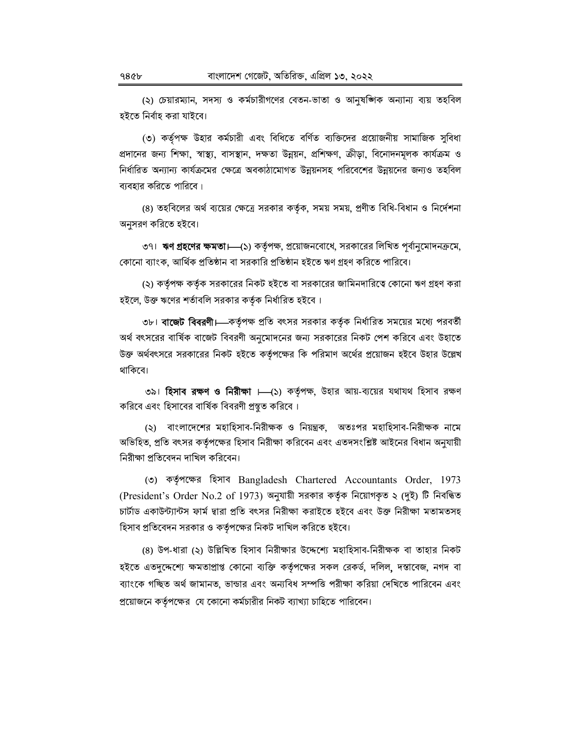(২) চেয়ারম্যান, সদস্য ও কর্মচারীগণের বেতন-ভাতা ও আনষজ্ঞিক অন্যান্য ব্যয় তহবিল হইতে নিৰ্বাহ করা যাইবে।

(৩) কর্তৃপক্ষ উহার কর্মচারী এবং বিধিতে বর্ণিত ব্যক্তিদের প্রয়োজনীয় সামাজিক সুবিধা প্রদানের জন্য শিক্ষা, স্বাস্থ্য, বাসস্থান, দক্ষতা উন্নয়ন, প্রশিক্ষণ, ক্রীড়া, বিনোদনমূলক কার্যক্রম ও নির্ধারিত অন্যান্য কার্যক্রমের ক্ষেত্রে অবকাঠামোগত উন্নয়নসহ পরিবেশের উন্নয়নের জন্যও তহবিল ব্যবহার করিতে পারিবে।

(৪) তহবিলের অর্থ ব্যয়ের ক্ষেত্রে সরকার কর্তৃক, সময় সময়, প্রণীত বিধি-বিধান ও নির্দেশনা অনুসরণ করিতে হইবে।

৩৭। **ঋণ গ্রহণের ক্ষমতা।** (১) কর্তৃপক্ষ, প্রয়োজনবোধে, সরকারের লিখিত পূর্বানুমোদনক্রমে, কোনো ব্যাংক, আৰ্থিক প্ৰতিষ্ঠান বা সরকারি প্ৰতিষ্ঠান হইতে ঋণ গ্ৰহণ করিতে পারিবে।

(২) কর্তৃপক্ষ কর্তৃক সরকারের নিকট হইতে বা সরকারের জামিনদারিত্বে কোনো ঋণ গ্রহণ করা হইলে, উক্ত ঋণের শর্তাবলি সরকার কর্তৃক নির্ধারিত হইবে।

৩৮। **বাজেট বিবরণী।**—কর্তৃপক্ষ প্রতি বৎসর সরকার কর্তৃক নির্ধারিত সময়ের মধ্যে পরবর্তী অর্থ বৎসরের বার্ষিক বাজেট বিবরণী অনুমোদনের জন্য সরকারের নিকট পেশ করিবে এবং উহাতে উক্ত অর্থবৎসরে সরকারের নিকট হইতে কর্তৃপক্ষের কি পরিমাণ অর্থের প্রয়োজন হইবে উহার উল্লেখ থাকিবে।

৩৯। **হিসাব রক্ষণ ও নিরীক্ষা ।** (১) কর্তৃপক্ষ, উহার আয়-ব্যয়ের যথাযথ হিসাব রক্ষণ করিবে এবং হিসাবের বার্ষিক বিবরণী প্রস্তুত করিবে।

(২) বাংলাদেশের মহাহিসাব-নিরীক্ষক ও নিয়ন্ত্রক, অতঃপর মহাহিসাব-নিরীক্ষক নামে অভিহিত, প্রতি বৎসর কর্তৃপক্ষের হিসাব নিরীক্ষা করিবেন এবং এতদসংশ্লিষ্ট আইনের বিধান অনুযায়ী নিরীক্ষা প্রতিবেদন দাখিল করিবেন।

(७) कर्ज़शक्ला श्ञित Bangladesh Chartered Accountants Order, 1973 (President's Order No.2 of 1973) অনুযায়ী সরকার কর্তৃক নিয়োগকৃত ২ (দুই) টি নিবন্ধিত চার্টাড একাউন্ট্যান্টস ফার্ম দ্বারা প্রতি বৎসর নিরীক্ষা করাইতে হইবে এবং উক্ত নিরীক্ষা মতামতসহ হিসাব প্রতিবেদন সরকার ও কর্তৃপক্ষের নিকট দাখিল করিতে হইবে।

(৪) উপ-ধারা (২) উল্লিখিত হিসাব নিরীক্ষার উদ্দেশ্যে মহাহিসাব-নিরীক্ষক বা তাহার নিকট হইতে এতদুদ্দেশ্যে ক্ষমতাপ্রাপ্ত কোনো ব্যক্তি কর্তৃপক্ষের সকল রেকর্ড, দলিল, দস্তাবেজ, নগদ বা ব্যাংকে গচ্ছিত অর্থ জামানত, ভান্ডার এবং অন্যবিধ সম্পত্তি পরীক্ষা করিয়া দেখিতে পারিবেন এবং প্রয়োজনে কর্তৃপক্ষের যে কোনো কর্মচারীর নিকট ব্যাখ্যা চাহিতে পারিবেন।

 $98$   $6<sub>b</sub>$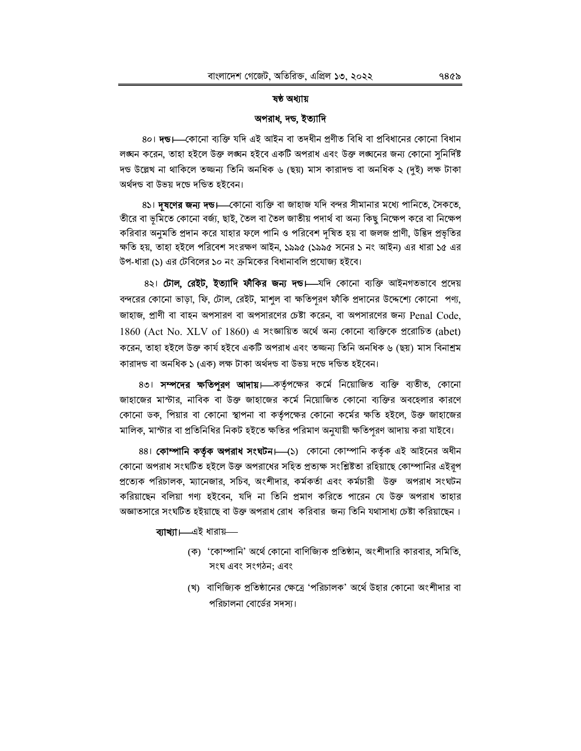### ষষ্ঠ অধ্যায়

### অপরাধ, দন্ড, ইত্যাদি

8০। দন্ড।—কোনো ব্যক্তি যদি এই আইন বা তদধীন প্ৰণীত বিধি বা প্ৰবিধানের কোনো বিধান লঙ্ঘন করেন, তাহা হইলে উক্ত লঙ্ঘন হইবে একটি অপরাধ এবং উক্ত লঙ্ঘনের জন্য কোনো সুনির্দিষ্ট দন্ড উল্লেখ না থাকিলে তজ্জন্য তিনি অনধিক ৬ (ছয়) মাস কারাদন্ড বা অনধিক ২ (দই) লক্ষ টাকা অৰ্থদণ্ড বা উভয় দণ্ডে দণ্ডিত হইবেন।

8১। **দূষণের জন্য দন্ড।**—কোনো ব্যক্তি বা জাহাজ যদি বন্দর সীমানার মধ্যে পানিতে, সৈকতে, তীরে বা ভূমিতে কোনো বর্জ্য, ছাই, তৈল বা তৈল জাতীয় পদার্থ বা অন্য কিছু নিক্ষেপ করে বা নিক্ষেপ করিবার অনুমতি প্রদান করে যাহার ফলে পানি ও পরিবেশ দষিত হয় বা জলজ প্রাণী, উদ্ভিদ প্রভৃতির ক্ষতি হয়. তাহা হইলে পরিবেশ সংরক্ষণ আইন, ১৯৯৫ (১৯৯৫ সনের ১ নং আইন) এর ধারা ১৫ এর উপ-ধারা (১) এর টেবিলের ১০ নং ক্রমিকের বিধানাবলি প্রযোজ্য হইবে।

8২। টোল, রেইট, ইত্যাদি ফীকির জন্য দন্ড।—যদি কোনো ব্যক্তি আইনগতভাবে প্রদেয় বন্দরের কোনো ভাড়া, ফি, টোল, রেইট, মাশুল বা ক্ষতিপূরণ ফাঁকি প্রদানের উদ্দেশ্যে কোনো পণ্য, জাহাজ, প্রাণী বা বাহন অপসারণ বা অপসারণের চেষ্টা করেন, বা অপসারণের জন্য Penal Code,  $1860$  (Act No. XLV of  $1860$ ) এ সংজ্ঞায়িত অর্থে অন্য কোনো ব্যক্তিকে প্ররোচিত (abet) করেন, তাহা হইলে উক্ত কার্য হইবে একটি অপরাধ এবং তজ্জন্য তিনি অনধিক ৬ (ছয়) মাস বিনাশ্রম কারাদণ্ড বা অনধিক ১ (এক) লক্ষ টাকা অর্থদণ্ড বা উভয় দণ্ডে দণ্ডিত হইবেন।

৪৩। **সম্পদের ক্ষতিপুরণ আদায়।** কর্তৃপক্ষের কর্মে নিয়োজিত ব্যক্তি ব্যতীত, কোনো জাহাজের মাস্টার, নাবিক বা উক্ত জাহাজের কর্মে নিয়োজিত কোনো ব্যক্তির অবহেলার কারণে কোনো ডক, পিয়ার বা কোনো স্থাপনা বা কর্তৃপক্ষের কোনো কর্মের ক্ষতি হইলে, উক্ত জাহাজের মালিক, মাস্টার বা প্রতিনিধির নিকট হইতে ক্ষতির পরিমাণ অনুযায়ী ক্ষতিপরণ আদায় করা যাইবে।

88। **কোম্পানি কর্তৃক অপরাধ সংঘটন।** (১) কোনো কোম্পানি কর্তৃক এই আইনের অধীন কোনো অপরাধ সংঘটিত হইলে উক্ত অপরাধের সহিত প্রত্যক্ষ সংশ্লিষ্টতা রহিয়াছে কোম্পানির এইরূপ প্রত্যেক পরিচালক, ম্যানেজার, সচিব, অংশীদার, কর্মকর্তা এবং কর্মচারী উক্ত অপরাধ সংঘটন করিয়াছেন বলিয়া গণ্য হইবেন, যদি না তিনি প্রমাণ করিতে পারেন যে উক্ত অপরাধ তাহার অজ্ঞাতসারে সংঘটিত হইয়াছে বা উক্ত অপরাধ রোধ করিবার জন্য তিনি যথাসাধ্য চেষ্টা করিয়াছেন।

## ব্যাখ্যা। এই ধারায়-

- (ক) 'কোম্পানি' অর্থে কোনো বাণিজ্যিক প্রতিষ্ঠান, অংশীদারি কারবার, সমিতি, সংঘ এবং সংগঠন: এবং
- (খ) বাণিজ্যিক প্রতিষ্ঠানের ক্ষেত্রে 'পরিচালক' অর্থে উহার কোনো অংশীদার বা পরিচালনা বোর্ডের সদস্য।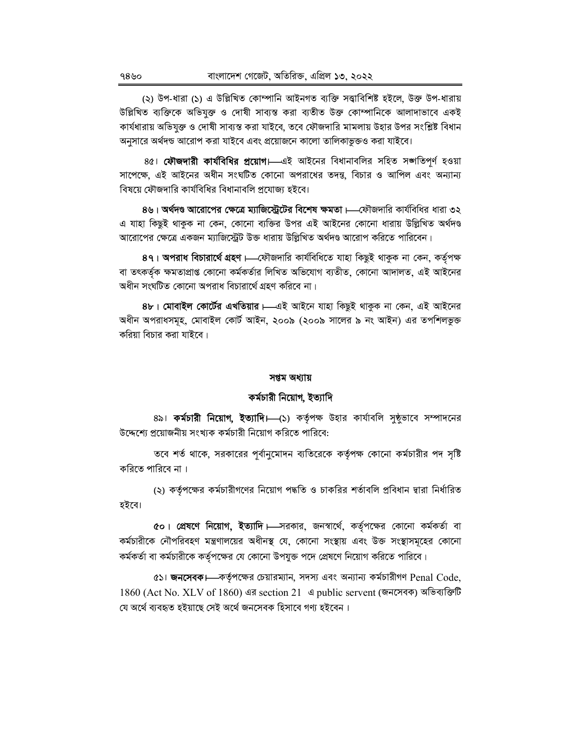(২) উপ-ধারা (১) এ উল্লিখিত কোম্পানি আইনগত ব্যক্তি সত্ত্বাবিশিষ্ট হইলে, উক্ত উপ-ধারায় উল্লিখিত ব্যক্তিকে অভিযুক্ত ও দোষী সাব্যস্ত করা ব্যতীত উক্ত কোম্পানিকে আলাদাভাবে একই কার্যধারায় অভিযুক্ত ও দোষী সাব্যস্ত করা যাইবে, তবে ফৌজদারি মামলায় উহার উপর সংশ্লিষ্ট বিধান অনুসারে অর্থদন্ড আরোপ করা যাইবে এবং প্রয়োজনে কালো তালিকাভুক্তও করা যাইবে।

৪৫। **ফৌজদারী কার্যবিধির প্রয়োগ।**—এই আইনের বিধানাবলির সহিত সঙ্গতিপূর্ণ হওয়া সাপেক্ষে, এই আইনের অধীন সংঘটিত কোনো অপরাধের তদন্ত, বিচার ও আপিল এবং অন্যান্য বিষয়ে ফৌজদারি কার্যবিধির বিধানাবলি প্রযোজ্য হইবে।

৪৬। অর্থদণ্ড আরোপের ক্ষেত্রে ম্যাজিস্ট্রেটের বিশেষ ক্ষমতা।—ফৌজদারি কার্যবিধির ধারা ৩২ এ যাহা কিছুই থাকুক না কেন, কোনো ব্যক্তির উপর এই আইনের কোনো ধারায় উল্লিখিত অর্থদণ্ড আরোপের ক্ষেত্রে একজন ম্যাজিস্ট্রেট উক্ত ধারায় উল্লিখিত অর্থদণ্ড আরোপ করিতে পারিবেন।

89। অপরাধ বিচারার্থে গ্রহণ ।—ফৌজদারি কার্যবিধিতে যাহা কিছুই থাকুক না কেন, কর্তৃপক্ষ বা তৎকৰ্তক ক্ষমতাপ্ৰাপ্ত কোনো কৰ্মকৰ্তার লিখিত অভিযোগ ব্যতীত, কোনো আদালত, এই আইনের অধীন সংঘটিত কোনো অপরাধ বিচারার্থে গ্রহণ করিবে না।

৪৮। মোবাইল কোর্টের এখতিয়ার।—এই আইনে যাহা কিছুই থাকুক না কেন, এই আইনের অধীন অপরাধসমূহ, মোবাইল কোর্ট আইন, ২০০৯ (২০০৯ সালের ৯ নং আইন) এর তপশিলভুক্ত করিয়া বিচার করা যাইবে।

### সপ্তম অধ্যায়

## কর্মচারী নিয়োগ, ইত্যাদি

৪৯। **কর্মচারী নিয়োগ, ইত্যাদি।—**(১) কর্তৃপক্ষ উহার কার্যাবলি সুষ্ঠুভাবে সম্পাদনের উদ্দেশ্যে প্রয়োজনীয় সংখ্যক কর্মচারী নিয়োগ করিতে পারিবে:

তবে শর্ত থাকে, সরকারের পূর্বানুমোদন ব্যতিরেকে কর্তৃপক্ষ কোনো কর্মচারীর পদ সৃষ্টি করিতে পারিবে না।

(২) কর্তৃপক্ষের কর্মচারীগণের নিয়োগ পদ্ধতি ও চাকরির শর্তাবলি প্রবিধান দ্বারা নির্ধারিত হইবে।

৫০। **প্রেষণে নিয়োগ, ইত্যাদি।—**সরকার, জনস্বার্থে, কর্তৃপক্ষের কোনো কর্মকর্তা বা কর্মচারীকে নৌপরিবহণ মন্ত্রণালয়ের অধীনস্থ যে, কোনো সংস্থায় এবং উক্ত সংস্থাসমূহের কোনো কর্মকর্তা বা কর্মচারীকে কর্তৃপক্ষের যে কোনো উপযুক্ত পদে প্রেষণে নিয়োগ করিতে পারিবে।

 $\alpha$ ১। জনসেবক।—কর্তৃপক্ষের চেয়ারম্যান, সদস্য এবং অন্যান্য কর্মচারীগণ Penal Code, 1860 (Act No. XLV of 1860) এর section 21 এ public servent (জনসেবক) অভিব্যক্তিটি যে অৰ্থে ব্যবহৃত হইয়াছে সেই অৰ্থে জনসেবক হিসাবে গণ্য হইবেন।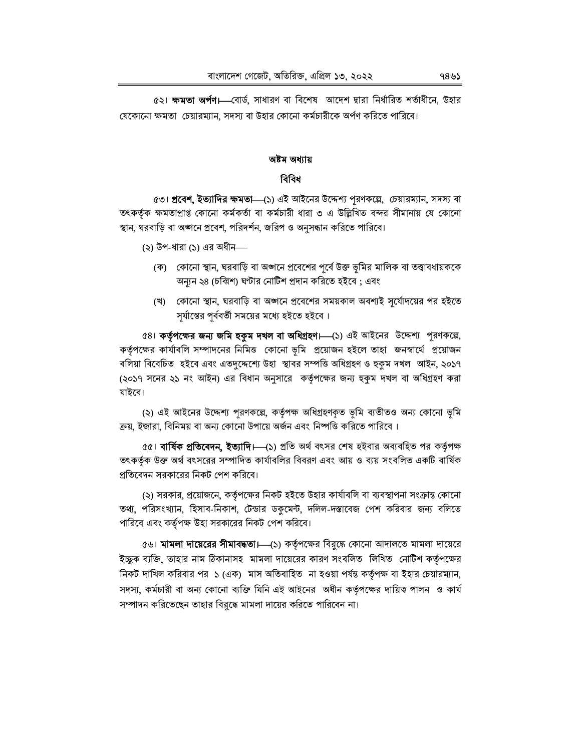৫২। **ক্ষমতা অৰ্পণ।—**বোৰ্ড, সাধারণ বা বিশেষ আদেশ দ্বারা নির্ধারিত শর্তাধীনে, উহার যেকোনো ক্ষমতা চেয়ারম্যান, সদস্য বা উহার কোনো কর্মচারীকে অর্পণ করিতে পারিবে।

# অষ্টম অধ্যায় বিবিধ

৫৩। **প্রবেশ, ইত্যাদির ক্ষমতা—**(১) এই আইনের উদ্দেশ্য পরণকল্পে, চেয়ারম্যান, সদস্য বা তৎকর্তৃক ক্ষমতাপ্রাপ্ত কোনো কর্মকর্তা বা কর্মচারী ধারা ৩ এ উল্লিখিত বন্দর সীমানায় যে কোনো স্থান, ঘরবাড়ি বা অঙ্গনে প্রবেশ, পরিদর্শন, জরিপ ও অনুসন্ধান করিতে পারিবে।

(২) উপ-ধারা (১) এর অধীন—

- (ক) কোনো স্থান, ঘরবাড়ি বা অঙ্গনে প্রবেশের পূর্বে উক্ত ভূমির মালিক বা তত্ত্বাবধায়ককে অন্যন ২৪ (চব্বিশ) ঘণ্টার নোটিশ প্রদান করিতে হইবে; এবং
- (খ) কোনো স্থান, ঘরবাড়ি বা অঙ্গনে প্রবেশের সময়কাল অবশ্যই সর্যোদয়ের পর হইতে সূর্যাস্তের পূর্ববর্তী সময়ের মধ্যে হইতে হইবে।

৫৪। কর্তৃপক্ষের জন্য জমি হকুম দখল বা অধিগ্রহণ। (১) এই আইনের উদ্দেশ্য পূরণকল্লে, কর্তৃপক্ষের কার্যাবলি সম্পাদনের নিমিত্ত কোনো ভূমি প্রয়োজন হইলে তাহা জনস্বার্থে প্রয়োজন বলিয়া বিবেচিত হইবে এবং এতদুদ্দেশ্যে উহা স্থাবর সম্পত্তি অধিগ্রহণ ও হুকুম দখল আইন, ২০১৭ (২০১৭ সনের ২১ নং আইন) এর বিধান অনুসারে কর্তৃপক্ষের জন্য হুকুম দখল বা অধিগ্রহণ করা যাইবে।

(২) এই আইনের উদ্দেশ্য পরণকল্পে, কর্তৃপক্ষ অধিগ্রহণকৃত ভূমি ব্যতীতও অন্য কোনো ভূমি ক্রয়, ইজারা, বিনিময় বা অন্য কোনো উপায়ে অর্জন এবং নিষ্পত্তি করিতে পারিবে।

 $\alpha$ । বার্ষিক প্রতিবেদন, ইত্যাদি।—(১) প্রতি অর্থ বৎসর শেষ হইবার অব্যবহিত পর কর্তৃপক্ষ তৎকর্তৃক উক্ত অর্থ বৎসরের সম্পাদিত কার্যাবলির বিবরণ এবং আয় ও ব্যয় সংবলিত একটি বার্ষিক প্রতিবেদন সরকারের নিকট পেশ করিবে।

(২) সরকার, প্রয়োজনে, কর্তৃপক্ষের নিকট হইতে উহার কার্যাবলি বা ব্যবস্থাপনা সংক্রান্ত কোনো তথ্য, পরিসংখ্যান, হিসাব-নিকাশ, টেন্ডার ডকুমেন্ট, দলিল-দস্তাবেজ পেশ করিবার জন্য বলিতে পারিবে এবং কর্তৃপক্ষ উহা সরকারের নিকট পেশ করিবে।

৫৬। **মামলা দায়েরের সীমাবদ্ধতা।**—(১) কর্তৃপক্ষের বিরুদ্ধে কোনো আদালতে মামলা দায়েরে ইচ্ছুক ব্যক্তি, তাহার নাম ঠিকানাসহ মামলা দায়েরের কারণ সংবলিত লিখিত নোটিশ কর্তৃপক্ষের নিকট দাখিল করিবার পর ১ (এক) মাস অতিবাহিত না হওয়া পর্যন্ত কর্তৃপক্ষ বা ইহার চেয়ারম্যান, সদস্য, কর্মচারী বা অন্য কোনো ব্যক্তি যিনি এই আইনের অধীন কর্তৃপক্ষের দায়িত্ব পালন ও কার্য সম্পাদন করিতেছেন তাহার বিরুদ্ধে মামলা দায়ের করিতে পারিবেন না।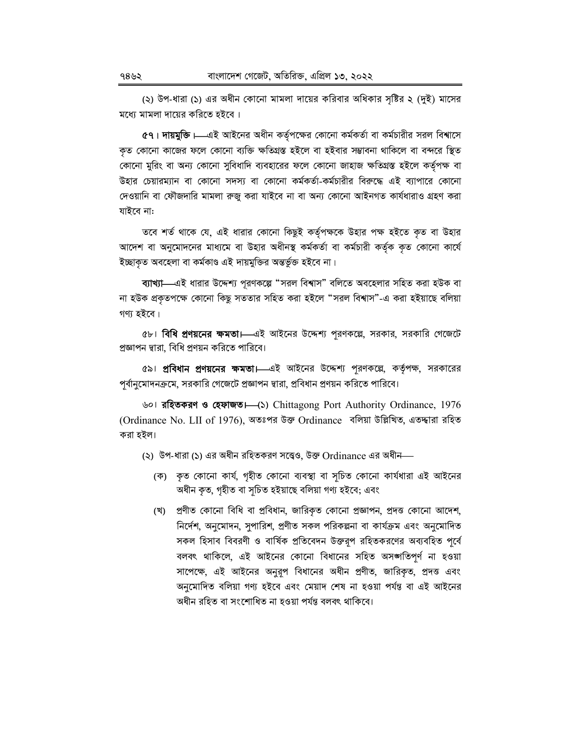(২) উপ-ধারা (১) এর অধীন কোনো মামলা দায়ের করিবার অধিকার সৃষ্টির ২ (দুই) মাসের মধ্যে মামলা দায়ের করিতে হইবে।

৫৭। দায়মুক্তি।—এই আইনের অধীন কর্তৃপক্ষের কোনো কর্মকর্তা বা কর্মচারীর সরল বিশ্বাসে কৃত কোনো কাজের ফলে কোনো ব্যক্তি ক্ষতিগ্রস্ত হইলে বা হইবার সম্ভাবনা থাকিলে বা বন্দরে স্থিত কোনো মুরিং বা অন্য কোনো সুবিধাদি ব্যবহারের ফলে কোনো জাহাজ ক্ষতিগ্রস্ত হইলে কর্তৃপক্ষ বা উহার চেয়ারম্যান বা কোনো সদস্য বা কোনো কর্মকর্তা-কর্মচারীর বিরুদ্ধে এই ব্যাপারে কোনো দেওয়ানি বা ফৌজদারি মামলা রুজু করা যাইবে না বা অন্য কোনো আইনগত কার্যধারাও গ্রহণ করা যাইবে না:

তবে শর্ত থাকে যে, এই ধারার কোনো কিছুই কর্তৃপক্ষকে উহার পক্ষ হইতে কৃত বা উহার আদেশ বা অনুমোদনের মাধ্যমে বা উহার অধীনস্থ কর্মকর্তা বা কর্মচারী কর্তৃক কৃত কোনো কার্যে ইচ্ছাকত অবহেলা বা কৰ্মকাণ্ড এই দায়মুক্তির অন্তর্ভুক্ত হইবে না।

ব্যাখ্যা—এই ধারার উদ্দেশ্য পূরণকল্পে "সরল বিশ্বাস" বলিতে অবহেলার সহিত করা হউক বা না হউক প্রকৃতপক্ষে কোনো কিছু সততার সহিত করা হইলে "সরল বিশ্বাস"-এ করা হইয়াছে বলিয়া গণ্য হইবে।

৫৮। **বিধি প্রণয়নের ক্ষমতা।** এই আইনের উদ্দেশ্য পরণকল্লে, সরকার, সরকারি গেজেটে প্রজ্ঞাপন দ্বারা, বিধি প্রণয়ন করিতে পারিবে।

৫৯। **প্রবিধান প্রণয়নের ক্ষমতা।** এই আইনের উদ্দেশ্য পূরণকল্পে, কর্তৃপক্ষ, সরকারের পূর্বানুমোদনক্রমে, সরকারি গেজেটে প্রজ্ঞাপন দ্বারা, প্রবিধান প্রণয়ন করিতে পারিবে।

৬০। **রহিতকরণ ও হেফাজত।** (১) Chittagong Port Authority Ordinance, 1976 (Ordinance No. LII of 1976), অতঃপর উক্ত Ordinance বলিয়া উল্লিখিত, এতদ্দারা রহিত করা হইল।

- (২) উপ-ধারা (১) এর অধীন রহিতকরণ সত্ত্বেও, উক্ত Ordinance এর অধীন-
	- (ক) কৃত কোনো কাৰ্য, গৃহীত কোনো ব্যবস্থা বা সূচিত কোনো কাৰ্যধারা এই আইনের অধীন কৃত, গৃহীত বা সূচিত হইয়াছে বলিয়া গণ্য হইবে; এবং
	- (খ) প্রণীত কোনো বিধি বা প্রবিধান, জারিকৃত কোনো প্রজ্ঞাপন, প্রদত্ত কোনো আদেশ, নির্দেশ, অনুমোদন, সুপারিশ, প্রণীত সকল পরিকল্পনা বা কার্যক্রম এবং অনুমোদিত সকল হিসাব বিবরণী ও বার্ষিক প্রতিবেদন উক্তরূপ রহিতকরণের অব্যবহিত পূর্বে বলবৎ থাকিলে, এই আইনের কোনো বিধানের সহিত অসঙ্গতিপূর্ণ না হওয়া সাপেক্ষে, এই আইনের অনুরূপ বিধানের অধীন প্রণীত, জারিকৃত, প্রদত্ত এবং অনুমোদিত বলিয়া গণ্য হইবে এবং মেয়াদ শেষ না হওয়া পর্যন্ত বা এই আইনের অধীন রহিত বা সংশোধিত না হওয়া পর্যন্ত বলবৎ থাকিবে।